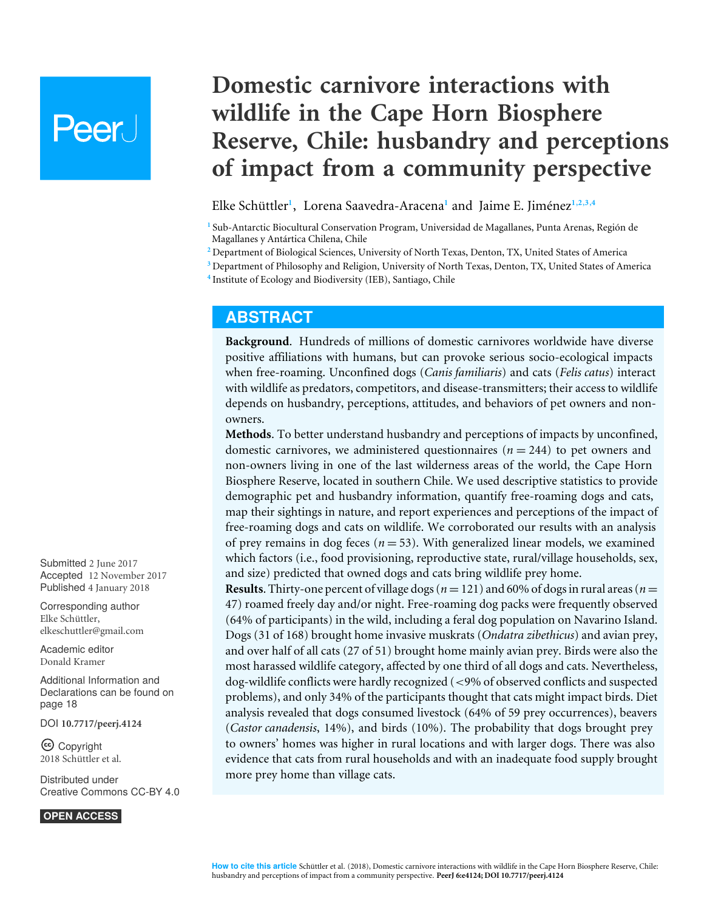# Peer l

## **Domestic carnivore interactions with wildlife in the Cape Horn Biosphere Reserve, Chile: husbandry and perceptions of impact from a community perspective**

<span id="page-0-6"></span><span id="page-0-5"></span><span id="page-0-4"></span>Elke Schüttler**[1](#page-0-0)** , Lorena Saavedra-Aracena**[1](#page-0-0)** and Jaime E. Jiménez**[1](#page-0-0)**,**[2](#page-0-1)**,**[3](#page-0-2)**,**[4](#page-0-3)**

<span id="page-0-0"></span>**1** Sub-Antarctic Biocultural Conservation Program, Universidad de Magallanes, Punta Arenas, Región de Magallanes y Antártica Chilena, Chile

<span id="page-0-1"></span>**<sup>2</sup>** Department of Biological Sciences, University of North Texas, Denton, TX, United States of America

<span id="page-0-3"></span><span id="page-0-2"></span>**<sup>3</sup>** Department of Philosophy and Religion, University of North Texas, Denton, TX, United States of America **4** Institute of Ecology and Biodiversity (IEB), Santiago, Chile

## **ABSTRACT**

**Background**. Hundreds of millions of domestic carnivores worldwide have diverse positive affiliations with humans, but can provoke serious socio-ecological impacts when free-roaming. Unconfined dogs (*Canis familiaris*) and cats (*Felis catus*) interact with wildlife as predators, competitors, and disease-transmitters; their access to wildlife depends on husbandry, perceptions, attitudes, and behaviors of pet owners and nonowners.

**Methods**. To better understand husbandry and perceptions of impacts by unconfined, domestic carnivores, we administered questionnaires  $(n = 244)$  to pet owners and non-owners living in one of the last wilderness areas of the world, the Cape Horn Biosphere Reserve, located in southern Chile. We used descriptive statistics to provide demographic pet and husbandry information, quantify free-roaming dogs and cats, map their sightings in nature, and report experiences and perceptions of the impact of free-roaming dogs and cats on wildlife. We corroborated our results with an analysis of prey remains in dog feces  $(n = 53)$ . With generalized linear models, we examined which factors (i.e., food provisioning, reproductive state, rural/village households, sex, and size) predicted that owned dogs and cats bring wildlife prey home.

**Results**. Thirty-one percent of village dogs ( $n = 121$ ) and 60% of dogs in rural areas ( $n =$ 47) roamed freely day and/or night. Free-roaming dog packs were frequently observed (64% of participants) in the wild, including a feral dog population on Navarino Island. Dogs (31 of 168) brought home invasive muskrats (*Ondatra zibethicus*) and avian prey, and over half of all cats (27 of 51) brought home mainly avian prey. Birds were also the most harassed wildlife category, affected by one third of all dogs and cats. Nevertheless, dog-wildlife conflicts were hardly recognized (<9% of observed conflicts and suspected problems), and only 34% of the participants thought that cats might impact birds. Diet analysis revealed that dogs consumed livestock (64% of 59 prey occurrences), beavers (*Castor canadensis*, 14%), and birds (10%). The probability that dogs brought prey to owners' homes was higher in rural locations and with larger dogs. There was also evidence that cats from rural households and with an inadequate food supply brought more prey home than village cats.

Submitted 2 June 2017 Accepted 12 November 2017 Published 4 January 2018

Corresponding author Elke Schüttler, [elkeschuttler@gmail.com](mailto:elkeschuttler@gmail.com)

[Academic editor](https://peerj.com/academic-boards/editors/) [Donald Kramer](https://peerj.com/academic-boards/editors/)

[Additional Information and](#page-17-0) [Declarations can be found on](#page-17-0) [page 18](#page-17-0)

DOI **[10.7717/peerj.4124](http://dx.doi.org/10.7717/peerj.4124)**

Copyright 2018 Schüttler et al.

[Distributed under](http://creativecommons.org/licenses/by/4.0/) [Creative Commons CC-BY 4.0](http://creativecommons.org/licenses/by/4.0/)

**OPEN ACCESS**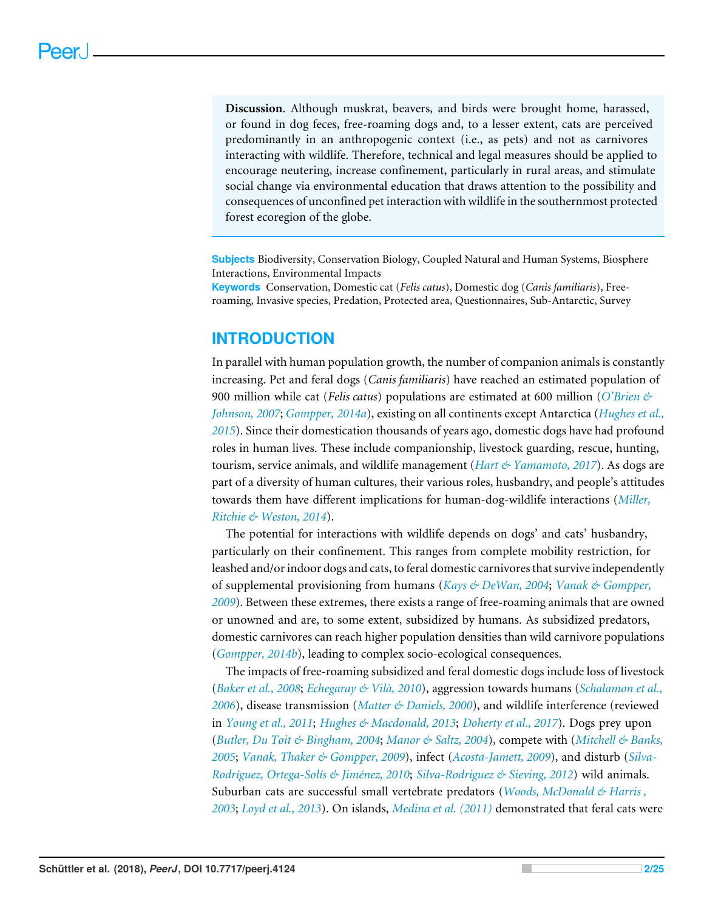**Discussion**. Although muskrat, beavers, and birds were brought home, harassed, or found in dog feces, free-roaming dogs and, to a lesser extent, cats are perceived predominantly in an anthropogenic context (i.e., as pets) and not as carnivores interacting with wildlife. Therefore, technical and legal measures should be applied to encourage neutering, increase confinement, particularly in rural areas, and stimulate social change via environmental education that draws attention to the possibility and consequences of unconfined pet interaction with wildlife in the southernmost protected forest ecoregion of the globe.

**Subjects** Biodiversity, Conservation Biology, Coupled Natural and Human Systems, Biosphere Interactions, Environmental Impacts **Keywords** Conservation, Domestic cat (*Felis catus*), Domestic dog (*Canis familiaris*), Free-

roaming, Invasive species, Predation, Protected area, Questionnaires, Sub-Antarctic, Survey

## **INTRODUCTION**

In parallel with human population growth, the number of companion animals is constantly increasing. Pet and feral dogs (*Canis familiaris*) have reached an estimated population of 900 million while cat (*Felis catus*) populations are estimated at 600 million (*[O'Brien &](#page-21-0) [Johnson, 2007](#page-21-0)*; *[Gompper, 2014a](#page-19-0)*), existing on all continents except Antarctica (*[Hughes et al.,](#page-20-0) [2015](#page-20-0)*). Since their domestication thousands of years ago, domestic dogs have had profound roles in human lives. These include companionship, livestock guarding, rescue, hunting, tourism, service animals, and wildlife management (*[Hart & Yamamoto, 2017](#page-20-1)*). As dogs are part of a diversity of human cultures, their various roles, husbandry, and people's attitudes towards them have different implications for human-dog-wildlife interactions (*[Miller,](#page-21-1) [Ritchie & Weston, 2014](#page-21-1)*).

The potential for interactions with wildlife depends on dogs' and cats' husbandry, particularly on their confinement. This ranges from complete mobility restriction, for leashed and/or indoor dogs and cats, to feral domestic carnivores that survive independently of supplemental provisioning from humans (*[Kays & DeWan, 2004](#page-20-2)*; *[Vanak & Gompper,](#page-23-0) [2009](#page-23-0)*). Between these extremes, there exists a range of free-roaming animals that are owned or unowned and are, to some extent, subsidized by humans. As subsidized predators, domestic carnivores can reach higher population densities than wild carnivore populations (*[Gompper, 2014b](#page-19-1)*), leading to complex socio-ecological consequences.

The impacts of free-roaming subsidized and feral domestic dogs include loss of livestock (*[Baker et al., 2008](#page-18-0)*; *[Echegaray & Vilà, 2010](#page-19-2)*), aggression towards humans (*[Schalamon et al.,](#page-22-0) [2006](#page-22-0)*), disease transmission (*[Matter & Daniels, 2000](#page-21-2)*), and wildlife interference (reviewed in *[Young et al., 2011](#page-24-0)*; *[Hughes & Macdonald, 2013](#page-20-3)*; *[Doherty et al., 2017](#page-19-3)*). Dogs prey upon (*[Butler, Du Toit & Bingham, 2004](#page-19-4)*; *[Manor & Saltz, 2004](#page-21-3)*), compete with (*[Mitchell & Banks,](#page-21-4) [2005](#page-21-4)*; *[Vanak, Thaker & Gompper, 2009](#page-23-1)*), infect (*[Acosta-Jamett, 2009](#page-18-1)*), and disturb (*[Silva-](#page-23-2)[Rodríguez, Ortega-Solís & Jiménez, 2010](#page-23-2)*; *[Silva-Rodriguez & Sieving, 2012](#page-23-3)*) wild animals. Suburban cats are successful small vertebrate predators (*[Woods, McDonald & Harris ,](#page-24-1) [2003](#page-24-1)*; *[Loyd et al., 2013](#page-20-4)*). On islands, *[Medina et al. \(2011\)](#page-21-5)* demonstrated that feral cats were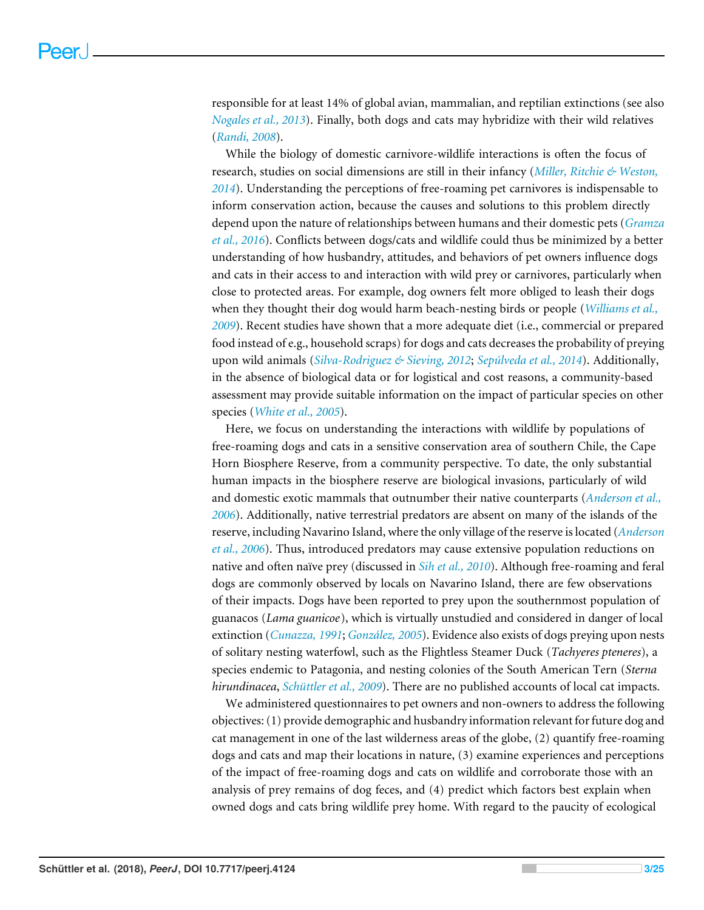responsible for at least 14% of global avian, mammalian, and reptilian extinctions (see also *[Nogales et al., 2013](#page-21-6)*). Finally, both dogs and cats may hybridize with their wild relatives (*[Randi, 2008](#page-22-1)*).

While the biology of domestic carnivore-wildlife interactions is often the focus of research, studies on social dimensions are still in their infancy (*[Miller, Ritchie & Weston,](#page-21-1) [2014](#page-21-1)*). Understanding the perceptions of free-roaming pet carnivores is indispensable to inform conservation action, because the causes and solutions to this problem directly depend upon the nature of relationships between humans and their domestic pets (*[Gramza](#page-20-5) [et al., 2016](#page-20-5)*). Conflicts between dogs/cats and wildlife could thus be minimized by a better understanding of how husbandry, attitudes, and behaviors of pet owners influence dogs and cats in their access to and interaction with wild prey or carnivores, particularly when close to protected areas. For example, dog owners felt more obliged to leash their dogs when they thought their dog would harm beach-nesting birds or people (*[Williams et al.,](#page-23-4) [2009](#page-23-4)*). Recent studies have shown that a more adequate diet (i.e., commercial or prepared food instead of e.g., household scraps) for dogs and cats decreases the probability of preying upon wild animals (*[Silva-Rodriguez & Sieving, 2012](#page-23-3)*; *[Sepúlveda et al., 2014](#page-23-5)*). Additionally, in the absence of biological data or for logistical and cost reasons, a community-based assessment may provide suitable information on the impact of particular species on other species (*[White et al., 2005](#page-23-6)*).

Here, we focus on understanding the interactions with wildlife by populations of free-roaming dogs and cats in a sensitive conservation area of southern Chile, the Cape Horn Biosphere Reserve, from a community perspective. To date, the only substantial human impacts in the biosphere reserve are biological invasions, particularly of wild and domestic exotic mammals that outnumber their native counterparts (*[Anderson et al.,](#page-18-2) [2006](#page-18-2)*). Additionally, native terrestrial predators are absent on many of the islands of the reserve, including Navarino Island, where the only village of the reserve is located (*[Anderson](#page-18-2) [et al., 2006](#page-18-2)*). Thus, introduced predators may cause extensive population reductions on native and often naïve prey (discussed in *[Sih et al., 2010](#page-23-7)*). Although free-roaming and feral dogs are commonly observed by locals on Navarino Island, there are few observations of their impacts. Dogs have been reported to prey upon the southernmost population of guanacos (*Lama guanicoe*), which is virtually unstudied and considered in danger of local extinction (*[Cunazza, 1991](#page-19-5)*; *[González, 2005](#page-19-6)*). Evidence also exists of dogs preying upon nests of solitary nesting waterfowl, such as the Flightless Steamer Duck (*Tachyeres pteneres*), a species endemic to Patagonia, and nesting colonies of the South American Tern (*Sterna hirundinacea*, *[Schüttler et al., 2009](#page-22-2)*). There are no published accounts of local cat impacts.

We administered questionnaires to pet owners and non-owners to address the following objectives: (1) provide demographic and husbandry information relevant for future dog and cat management in one of the last wilderness areas of the globe, (2) quantify free-roaming dogs and cats and map their locations in nature, (3) examine experiences and perceptions of the impact of free-roaming dogs and cats on wildlife and corroborate those with an analysis of prey remains of dog feces, and (4) predict which factors best explain when owned dogs and cats bring wildlife prey home. With regard to the paucity of ecological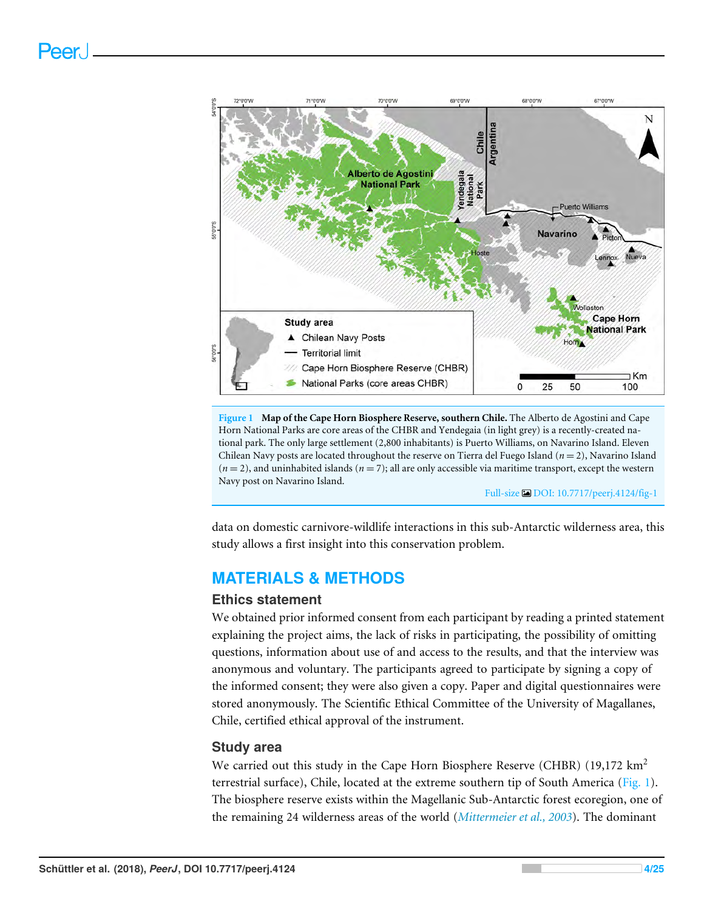<span id="page-3-0"></span>

**Figure 1 Map of the Cape Horn Biosphere Reserve, southern Chile.** The Alberto de Agostini and Cape Horn National Parks are core areas of the CHBR and Yendegaia (in light grey) is a recently-created national park. The only large settlement (2,800 inhabitants) is Puerto Williams, on Navarino Island. Eleven Chilean Navy posts are located throughout the reserve on Tierra del Fuego Island (*n* = 2), Navarino Island  $(n=2)$ , and uninhabited islands  $(n=7)$ ; all are only accessible via maritime transport, except the western Navy post on Navarino Island.

Full-size [DOI: 10.7717/peerj.4124/fig-1](https://doi.org/10.7717/peerj.4124/fig-1)

data on domestic carnivore-wildlife interactions in this sub-Antarctic wilderness area, this study allows a first insight into this conservation problem.

## **MATERIALS & METHODS**

#### **Ethics statement**

We obtained prior informed consent from each participant by reading a printed statement explaining the project aims, the lack of risks in participating, the possibility of omitting questions, information about use of and access to the results, and that the interview was anonymous and voluntary. The participants agreed to participate by signing a copy of the informed consent; they were also given a copy. Paper and digital questionnaires were stored anonymously. The Scientific Ethical Committee of the University of Magallanes, Chile, certified ethical approval of the instrument.

#### **Study area**

We carried out this study in the Cape Horn Biosphere Reserve (CHBR)  $(19,172 \text{ km}^2)$ terrestrial surface), Chile, located at the extreme southern tip of South America [\(Fig. 1\)](#page-3-0). The biosphere reserve exists within the Magellanic Sub-Antarctic forest ecoregion, one of the remaining 24 wilderness areas of the world (*[Mittermeier et al., 2003](#page-21-7)*). The dominant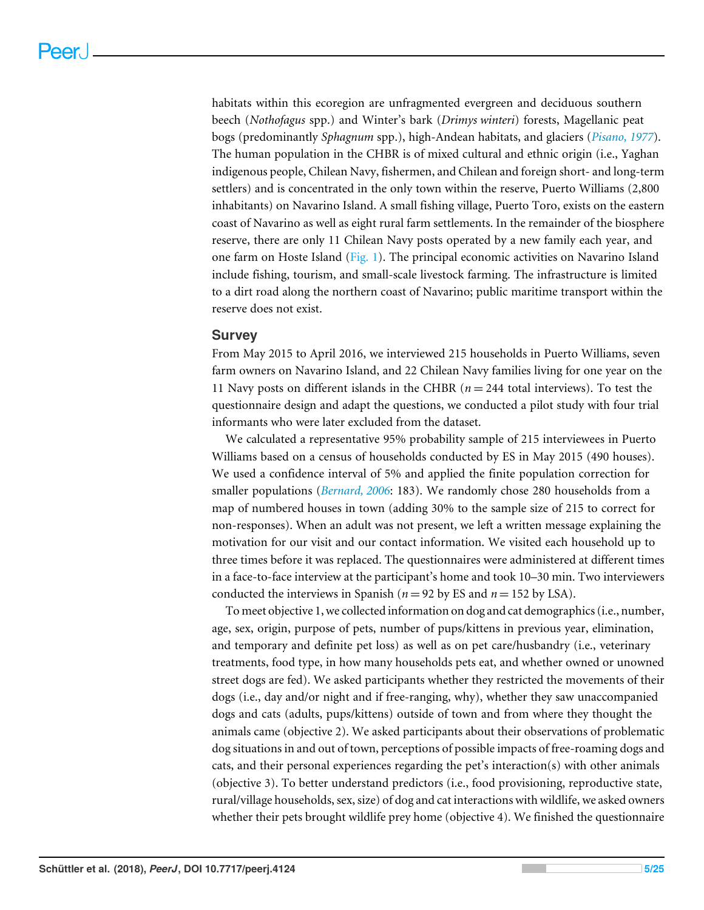habitats within this ecoregion are unfragmented evergreen and deciduous southern beech (*Nothofagus* spp.) and Winter's bark (*Drimys winteri*) forests, Magellanic peat bogs (predominantly *Sphagnum* spp.), high-Andean habitats, and glaciers (*[Pisano, 1977](#page-22-3)*). The human population in the CHBR is of mixed cultural and ethnic origin (i.e., Yaghan indigenous people, Chilean Navy, fishermen, and Chilean and foreign short- and long-term settlers) and is concentrated in the only town within the reserve, Puerto Williams (2,800 inhabitants) on Navarino Island. A small fishing village, Puerto Toro, exists on the eastern coast of Navarino as well as eight rural farm settlements. In the remainder of the biosphere reserve, there are only 11 Chilean Navy posts operated by a new family each year, and one farm on Hoste Island [\(Fig. 1\)](#page-3-0). The principal economic activities on Navarino Island include fishing, tourism, and small-scale livestock farming. The infrastructure is limited to a dirt road along the northern coast of Navarino; public maritime transport within the reserve does not exist.

#### **Survey**

From May 2015 to April 2016, we interviewed 215 households in Puerto Williams, seven farm owners on Navarino Island, and 22 Chilean Navy families living for one year on the 11 Navy posts on different islands in the CHBR (*n* = 244 total interviews). To test the questionnaire design and adapt the questions, we conducted a pilot study with four trial informants who were later excluded from the dataset.

We calculated a representative 95% probability sample of 215 interviewees in Puerto Williams based on a census of households conducted by ES in May 2015 (490 houses). We used a confidence interval of 5% and applied the finite population correction for smaller populations (*[Bernard, 2006](#page-18-3)*: 183). We randomly chose 280 households from a map of numbered houses in town (adding 30% to the sample size of 215 to correct for non-responses). When an adult was not present, we left a written message explaining the motivation for our visit and our contact information. We visited each household up to three times before it was replaced. The questionnaires were administered at different times in a face-to-face interview at the participant's home and took 10–30 min. Two interviewers conducted the interviews in Spanish ( $n = 92$  by ES and  $n = 152$  by LSA).

To meet objective 1, we collected information on dog and cat demographics (i.e., number, age, sex, origin, purpose of pets, number of pups/kittens in previous year, elimination, and temporary and definite pet loss) as well as on pet care/husbandry (i.e., veterinary treatments, food type, in how many households pets eat, and whether owned or unowned street dogs are fed). We asked participants whether they restricted the movements of their dogs (i.e., day and/or night and if free-ranging, why), whether they saw unaccompanied dogs and cats (adults, pups/kittens) outside of town and from where they thought the animals came (objective 2). We asked participants about their observations of problematic dog situations in and out of town, perceptions of possible impacts of free-roaming dogs and cats, and their personal experiences regarding the pet's interaction(s) with other animals (objective 3). To better understand predictors (i.e., food provisioning, reproductive state, rural/village households, sex, size) of dog and cat interactions with wildlife, we asked owners whether their pets brought wildlife prey home (objective 4). We finished the questionnaire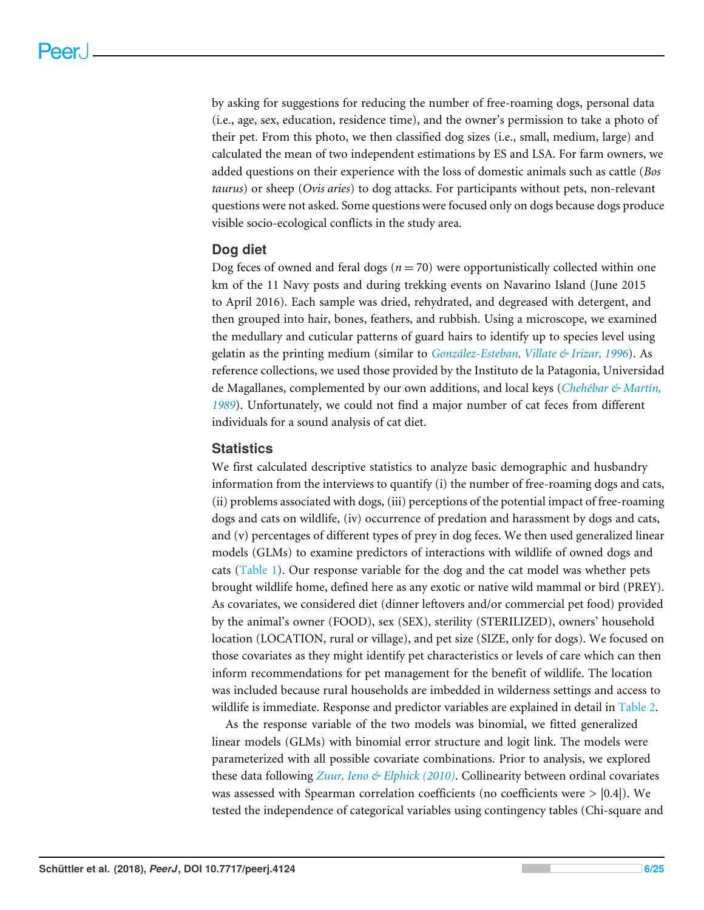by asking for suggestions for reducing the number of free-roaming dogs, personal data (i.e., age, sex, education, residence time), and the owner's permission to take a photo of their pet. From this photo, we then classified dog sizes (i.e., small, medium, large) and calculated the mean of two independent estimations by ES and LSA. For farm owners, we added questions on their experience with the loss of domestic animals such as cattle (*Bos taurus*) or sheep (*Ovis aries*) to dog attacks. For participants without pets, non-relevant questions were not asked. Some questions were focused only on dogs because dogs produce visible socio-ecological conflicts in the study area.

#### **Dog diet**

Dog feces of owned and feral dogs  $(n = 70)$  were opportunistically collected within one km of the 11 Navy posts and during trekking events on Navarino Island (June 2015 to April 2016). Each sample was dried, rehydrated, and degreased with detergent, and then grouped into hair, bones, feathers, and rubbish. Using a microscope, we examined the medullary and cuticular patterns of guard hairs to identify up to species level using gelatin as the printing medium (similar to *[González-Esteban, Villate & Irizar, 1996](#page-20-6)*). As reference collections, we used those provided by the Instituto de la Patagonia, Universidad de Magallanes, complemented by our own additions, and local keys (*[Chehébar & Martín,](#page-19-7) [1989](#page-19-7)*). Unfortunately, we could not find a major number of cat feces from different individuals for a sound analysis of cat diet.

#### **Statistics**

We first calculated descriptive statistics to analyze basic demographic and husbandry information from the interviews to quantify (i) the number of free-roaming dogs and cats, (ii) problems associated with dogs, (iii) perceptions of the potential impact of free-roaming dogs and cats on wildlife, (iv) occurrence of predation and harassment by dogs and cats, and (v) percentages of different types of prey in dog feces. We then used generalized linear models (GLMs) to examine predictors of interactions with wildlife of owned dogs and cats [\(Table 1\)](#page-6-0). Our response variable for the dog and the cat model was whether pets brought wildlife home, defined here as any exotic or native wild mammal or bird (PREY). As covariates, we considered diet (dinner leftovers and/or commercial pet food) provided by the animal's owner (FOOD), sex (SEX), sterility (STERILIZED), owners' household location (LOCATION, rural or village), and pet size (SIZE, only for dogs). We focused on those covariates as they might identify pet characteristics or levels of care which can then inform recommendations for pet management for the benefit of wildlife. The location was included because rural households are imbedded in wilderness settings and access to wildlife is immediate. Response and predictor variables are explained in detail in [Table 2.](#page-6-1)

As the response variable of the two models was binomial, we fitted generalized linear models (GLMs) with binomial error structure and logit link. The models were parameterized with all possible covariate combinations. Prior to analysis, we explored these data following *[Zuur, Ieno & Elphick \(2010\)](#page-24-2)*. Collinearity between ordinal covariates was assessed with Spearman correlation coefficients (no coefficients were  $>$  |0.4|). We tested the independence of categorical variables using contingency tables (Chi-square and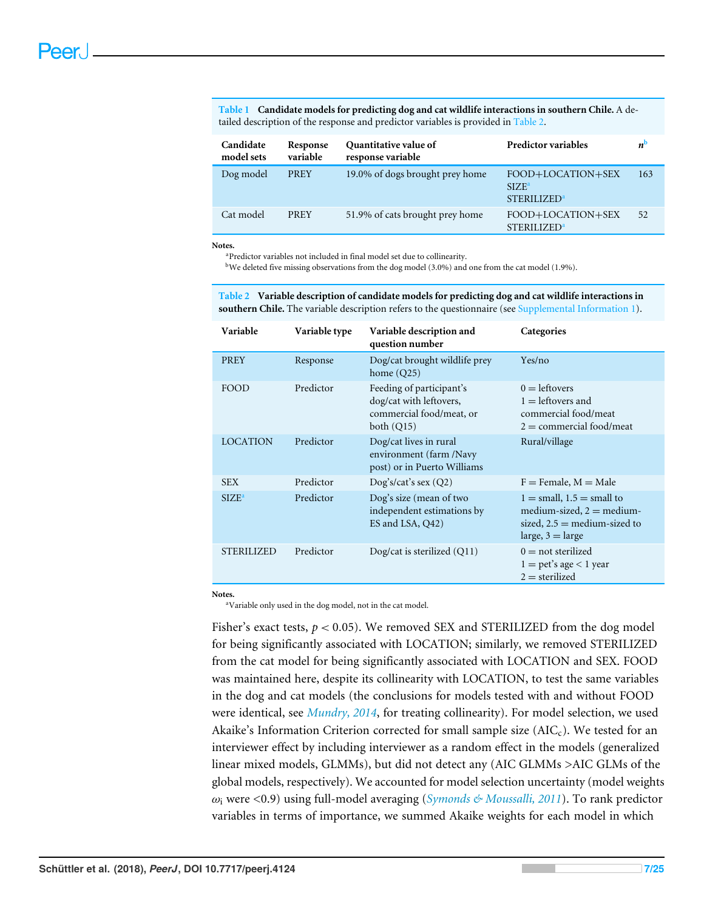<span id="page-6-0"></span>**Table 1 Candidate models for predicting dog and cat wildlife interactions in southern Chile.** A detailed description of the response and predictor variables is provided in [Table 2.](#page-6-1)

| Candidate<br>model sets | Response<br>variable | Quantitative value of<br>response variable | <b>Predictor variables</b>                                              | $n^{\rm b}$ |
|-------------------------|----------------------|--------------------------------------------|-------------------------------------------------------------------------|-------------|
| Dog model               | <b>PREY</b>          | 19.0% of dogs brought prey home            | FOOD+LOCATION+SEX<br>SIZF <sup>a</sup><br><b>STERILIZED<sup>a</sup></b> | 163         |
| Cat model               | <b>PREY</b>          | 51.9% of cats brought prey home            | FOOD+LOCATION+SEX<br><b>STERILIZED<sup>a</sup></b>                      | 52          |

<span id="page-6-3"></span>**Notes.**

<sup>a</sup>Predictor variables not included in final model set due to collinearity.

<span id="page-6-2"></span><sup>b</sup>We deleted five missing observations from the dog model (3.0%) and one from the cat model (1.9%).

<span id="page-6-1"></span>**Table 2 Variable description of candidate models for predicting dog and cat wildlife interactions in southern Chile.** The variable description refers to the questionnaire (see [Supplemental Information 1\)](http://dx.doi.org/10.7717/peerj.4124#supp-1).

| Variable          | Variable type | Variable description and<br>question number                                                     | Categories                                                                                                                          |
|-------------------|---------------|-------------------------------------------------------------------------------------------------|-------------------------------------------------------------------------------------------------------------------------------------|
| PREY              | Response      | Dog/cat brought wildlife prey<br>home $(Q25)$                                                   | Yes/no                                                                                                                              |
| FOOD              | Predictor     | Feeding of participant's<br>dog/cat with leftovers,<br>commercial food/meat, or<br>both $(Q15)$ | $0 =$ leftovers<br>$1 =$ leftovers and<br>commercial food/meat<br>$2 =$ commercial food/meat                                        |
| <b>LOCATION</b>   | Predictor     | Dog/cat lives in rural<br>environment (farm /Navy<br>post) or in Puerto Williams                | Rural/village                                                                                                                       |
| <b>SEX</b>        | Predictor     | $\log$ 's/cat's sex (Q2)                                                                        | $F =$ Female, $M =$ Male                                                                                                            |
| $SIZE^a$          | Predictor     | Dog's size (mean of two<br>independent estimations by<br>ES and LSA, Q42)                       | $1 =$ small, $1.5 =$ small to<br>medium-sized, $2 = \text{medium}$ -<br>sized, $2.5$ = medium-sized to<br>large, $3 = \text{large}$ |
| <b>STERILIZED</b> | Predictor     | Dog/cat is sterilized $(Q11)$                                                                   | $0 = \text{not}$ sterilized<br>$1 = \text{pet's age} < 1 \text{ year}$<br>$2 =$ sterilized                                          |

<span id="page-6-4"></span>**Notes.**

<sup>a</sup>Variable only used in the dog model, not in the cat model.

Fisher's exact tests,  $p < 0.05$ ). We removed SEX and STERILIZED from the dog model for being significantly associated with LOCATION; similarly, we removed STERILIZED from the cat model for being significantly associated with LOCATION and SEX. FOOD was maintained here, despite its collinearity with LOCATION, to test the same variables in the dog and cat models (the conclusions for models tested with and without FOOD were identical, see *[Mundry, 2014](#page-21-8)*, for treating collinearity). For model selection, we used Akaike's Information Criterion corrected for small sample size  $(AIC_c)$ . We tested for an interviewer effect by including interviewer as a random effect in the models (generalized linear mixed models, GLMMs), but did not detect any (AIC GLMMs >AIC GLMs of the global models, respectively). We accounted for model selection uncertainty (model weights ω<sup>i</sup> were <0.9) using full-model averaging (*[Symonds & Moussalli, 2011](#page-23-8)*). To rank predictor variables in terms of importance, we summed Akaike weights for each model in which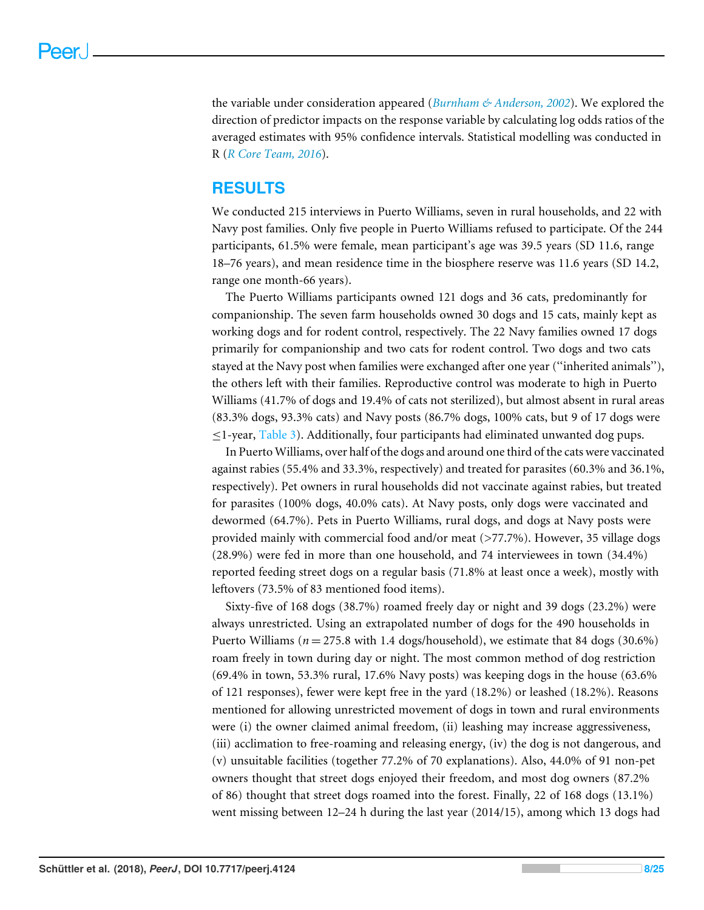the variable under consideration appeared (*[Burnham & Anderson, 2002](#page-19-8)*). We explored the direction of predictor impacts on the response variable by calculating log odds ratios of the averaged estimates with 95% confidence intervals. Statistical modelling was conducted in R (*[R Core Team, 2016](#page-22-4)*).

## **RESULTS**

We conducted 215 interviews in Puerto Williams, seven in rural households, and 22 with Navy post families. Only five people in Puerto Williams refused to participate. Of the 244 participants, 61.5% were female, mean participant's age was 39.5 years (SD 11.6, range 18–76 years), and mean residence time in the biosphere reserve was 11.6 years (SD 14.2, range one month-66 years).

The Puerto Williams participants owned 121 dogs and 36 cats, predominantly for companionship. The seven farm households owned 30 dogs and 15 cats, mainly kept as working dogs and for rodent control, respectively. The 22 Navy families owned 17 dogs primarily for companionship and two cats for rodent control. Two dogs and two cats stayed at the Navy post when families were exchanged after one year (''inherited animals''), the others left with their families. Reproductive control was moderate to high in Puerto Williams (41.7% of dogs and 19.4% of cats not sterilized), but almost absent in rural areas (83.3% dogs, 93.3% cats) and Navy posts (86.7% dogs, 100% cats, but 9 of 17 dogs were ≤1-year, [Table 3\)](#page-8-0). Additionally, four participants had eliminated unwanted dog pups.

In Puerto Williams, over half of the dogs and around one third of the cats were vaccinated against rabies (55.4% and 33.3%, respectively) and treated for parasites (60.3% and 36.1%, respectively). Pet owners in rural households did not vaccinate against rabies, but treated for parasites (100% dogs, 40.0% cats). At Navy posts, only dogs were vaccinated and dewormed (64.7%). Pets in Puerto Williams, rural dogs, and dogs at Navy posts were provided mainly with commercial food and/or meat (>77.7%). However, 35 village dogs (28.9%) were fed in more than one household, and 74 interviewees in town (34.4%) reported feeding street dogs on a regular basis (71.8% at least once a week), mostly with leftovers (73.5% of 83 mentioned food items).

Sixty-five of 168 dogs (38.7%) roamed freely day or night and 39 dogs (23.2%) were always unrestricted. Using an extrapolated number of dogs for the 490 households in Puerto Williams ( $n = 275.8$  with 1.4 dogs/household), we estimate that 84 dogs (30.6%) roam freely in town during day or night. The most common method of dog restriction (69.4% in town, 53.3% rural, 17.6% Navy posts) was keeping dogs in the house (63.6% of 121 responses), fewer were kept free in the yard (18.2%) or leashed (18.2%). Reasons mentioned for allowing unrestricted movement of dogs in town and rural environments were (i) the owner claimed animal freedom, (ii) leashing may increase aggressiveness, (iii) acclimation to free-roaming and releasing energy, (iv) the dog is not dangerous, and (v) unsuitable facilities (together 77.2% of 70 explanations). Also, 44.0% of 91 non-pet owners thought that street dogs enjoyed their freedom, and most dog owners (87.2% of 86) thought that street dogs roamed into the forest. Finally, 22 of 168 dogs (13.1%) went missing between 12–24 h during the last year (2014/15), among which 13 dogs had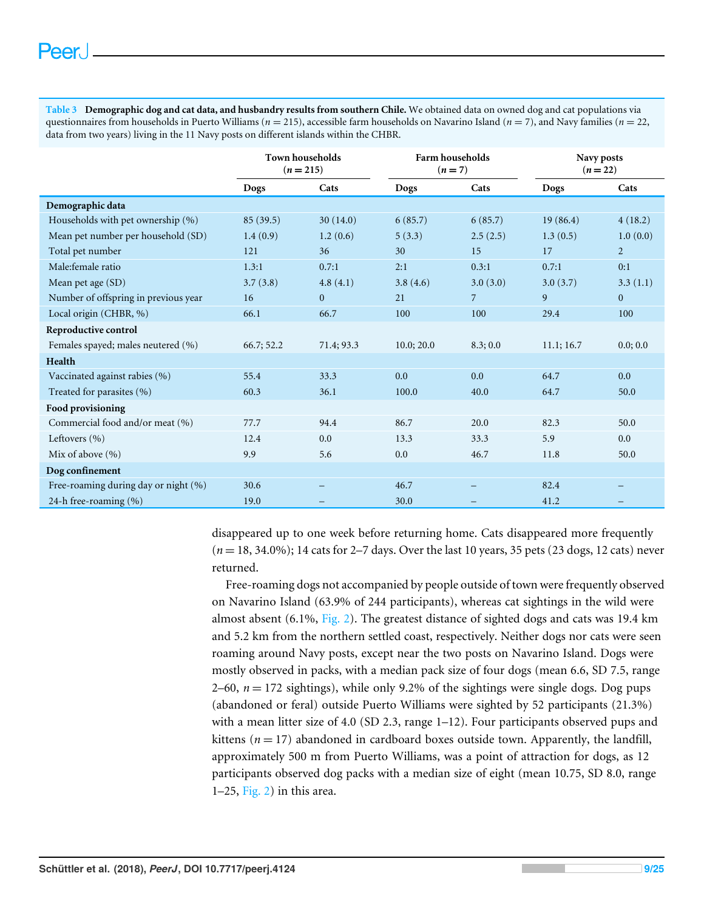<span id="page-8-0"></span>**Table 3 Demographic dog and cat data, and husbandry results from southern Chile.** We obtained data on owned dog and cat populations via questionnaires from households in Puerto Williams (*n* = 215), accessible farm households on Navarino Island (*n* = 7), and Navy families (*n* = 22, data from two years) living in the 11 Navy posts on different islands within the CHBR.

|                                      | <b>Town households</b><br>$(n=215)$ |                | Farm households<br>$(n=7)$ |          | Navy posts<br>$(n = 22)$ |                |
|--------------------------------------|-------------------------------------|----------------|----------------------------|----------|--------------------------|----------------|
|                                      | <b>Dogs</b>                         | Cats           | Dogs                       | Cats     | Dogs                     | Cats           |
| Demographic data                     |                                     |                |                            |          |                          |                |
| Households with pet ownership (%)    | 85(39.5)                            | 30(14.0)       | 6(85.7)                    | 6(85.7)  | 19(86.4)                 | 4(18.2)        |
| Mean pet number per household (SD)   | 1.4(0.9)                            | 1.2(0.6)       | 5(3.3)                     | 2.5(2.5) | 1.3(0.5)                 | 1.0(0.0)       |
| Total pet number                     | 121                                 | 36             | 30                         | 15       | 17                       | $\overline{2}$ |
| Male:female ratio                    | 1.3:1                               | 0.7:1          | 2:1                        | 0.3:1    | 0.7:1                    | 0:1            |
| Mean pet age (SD)                    | 3.7(3.8)                            | 4.8(4.1)       | 3.8(4.6)                   | 3.0(3.0) | 3.0(3.7)                 | 3.3(1.1)       |
| Number of offspring in previous year | 16                                  | $\overline{0}$ | 21                         | 7        | 9                        | $\mathbf{0}$   |
| Local origin (CHBR, %)               | 66.1                                | 66.7           | 100                        | 100      | 29.4                     | 100            |
| Reproductive control                 |                                     |                |                            |          |                          |                |
| Females spayed; males neutered (%)   | 66.7; 52.2                          | 71.4; 93.3     | 10.0; 20.0                 | 8.3;0.0  | 11.1; 16.7               | 0.0; 0.0       |
| Health                               |                                     |                |                            |          |                          |                |
| Vaccinated against rabies (%)        | 55.4                                | 33.3           | 0.0                        | 0.0      | 64.7                     | 0.0            |
| Treated for parasites (%)            | 60.3                                | 36.1           | 100.0                      | 40.0     | 64.7                     | 50.0           |
| <b>Food provisioning</b>             |                                     |                |                            |          |                          |                |
| Commercial food and/or meat (%)      | 77.7                                | 94.4           | 86.7                       | 20.0     | 82.3                     | 50.0           |
| Leftovers $(\% )$                    | 12.4                                | 0.0            | 13.3                       | 33.3     | 5.9                      | 0.0            |
| Mix of above (%)                     | 9.9                                 | 5.6            | 0.0                        | 46.7     | 11.8                     | 50.0           |
| Dog confinement                      |                                     |                |                            |          |                          |                |
| Free-roaming during day or night (%) | 30.6                                |                | 46.7                       |          | 82.4                     |                |
| 24-h free-roaming (%)                | 19.0                                |                | 30.0                       |          | 41.2                     |                |

disappeared up to one week before returning home. Cats disappeared more frequently (*n* = 18, 34.0%); 14 cats for 2–7 days. Over the last 10 years, 35 pets (23 dogs, 12 cats) never returned.

Free-roaming dogs not accompanied by people outside of town were frequently observed on Navarino Island (63.9% of 244 participants), whereas cat sightings in the wild were almost absent (6.1%, [Fig. 2\)](#page-9-0). The greatest distance of sighted dogs and cats was 19.4 km and 5.2 km from the northern settled coast, respectively. Neither dogs nor cats were seen roaming around Navy posts, except near the two posts on Navarino Island. Dogs were mostly observed in packs, with a median pack size of four dogs (mean 6.6, SD 7.5, range 2–60,  $n = 172$  sightings), while only 9.2% of the sightings were single dogs. Dog pups (abandoned or feral) outside Puerto Williams were sighted by 52 participants (21.3%) with a mean litter size of 4.0 (SD 2.3, range 1–12). Four participants observed pups and kittens ( $n = 17$ ) abandoned in cardboard boxes outside town. Apparently, the landfill, approximately 500 m from Puerto Williams, was a point of attraction for dogs, as 12 participants observed dog packs with a median size of eight (mean 10.75, SD 8.0, range 1–25, [Fig. 2\)](#page-9-0) in this area.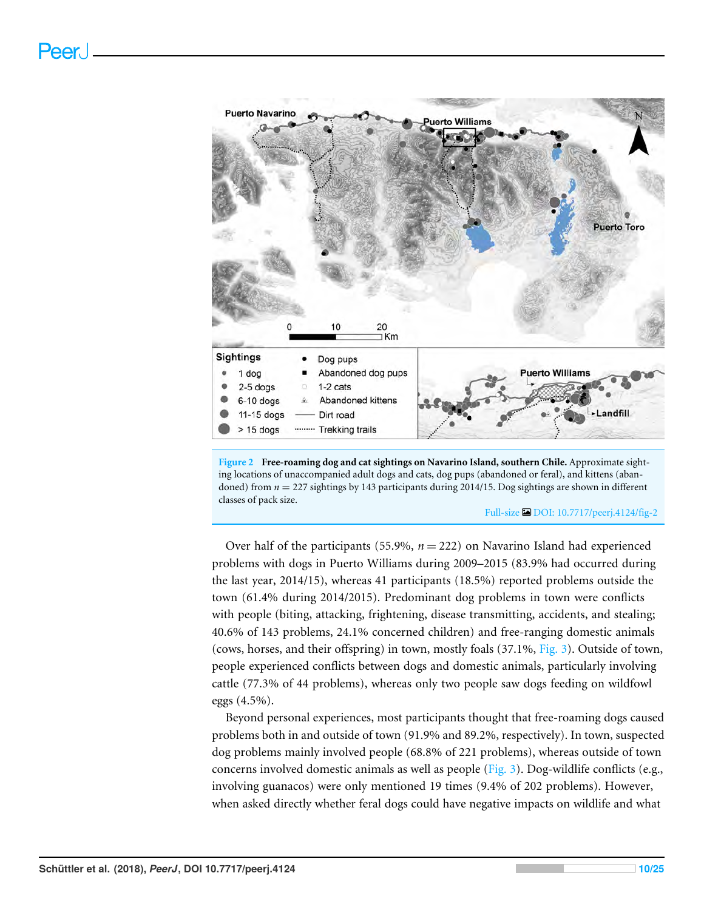<span id="page-9-0"></span>

**Figure 2 Free-roaming dog and cat sightings on Navarino Island, southern Chile.** Approximate sighting locations of unaccompanied adult dogs and cats, dog pups (abandoned or feral), and kittens (abandoned) from *n* = 227 sightings by 143 participants during 2014/15. Dog sightings are shown in different classes of pack size.

Full-size [DOI: 10.7717/peerj.4124/fig-2](https://doi.org/10.7717/peerj.4124/fig-2)

Over half of the participants (55.9%,  $n = 222$ ) on Navarino Island had experienced problems with dogs in Puerto Williams during 2009–2015 (83.9% had occurred during the last year, 2014/15), whereas 41 participants (18.5%) reported problems outside the town (61.4% during 2014/2015). Predominant dog problems in town were conflicts with people (biting, attacking, frightening, disease transmitting, accidents, and stealing; 40.6% of 143 problems, 24.1% concerned children) and free-ranging domestic animals (cows, horses, and their offspring) in town, mostly foals (37.1%, [Fig. 3\)](#page-10-0). Outside of town, people experienced conflicts between dogs and domestic animals, particularly involving cattle (77.3% of 44 problems), whereas only two people saw dogs feeding on wildfowl eggs (4.5%).

Beyond personal experiences, most participants thought that free-roaming dogs caused problems both in and outside of town (91.9% and 89.2%, respectively). In town, suspected dog problems mainly involved people (68.8% of 221 problems), whereas outside of town concerns involved domestic animals as well as people [\(Fig. 3\)](#page-10-0). Dog-wildlife conflicts (e.g., involving guanacos) were only mentioned 19 times (9.4% of 202 problems). However, when asked directly whether feral dogs could have negative impacts on wildlife and what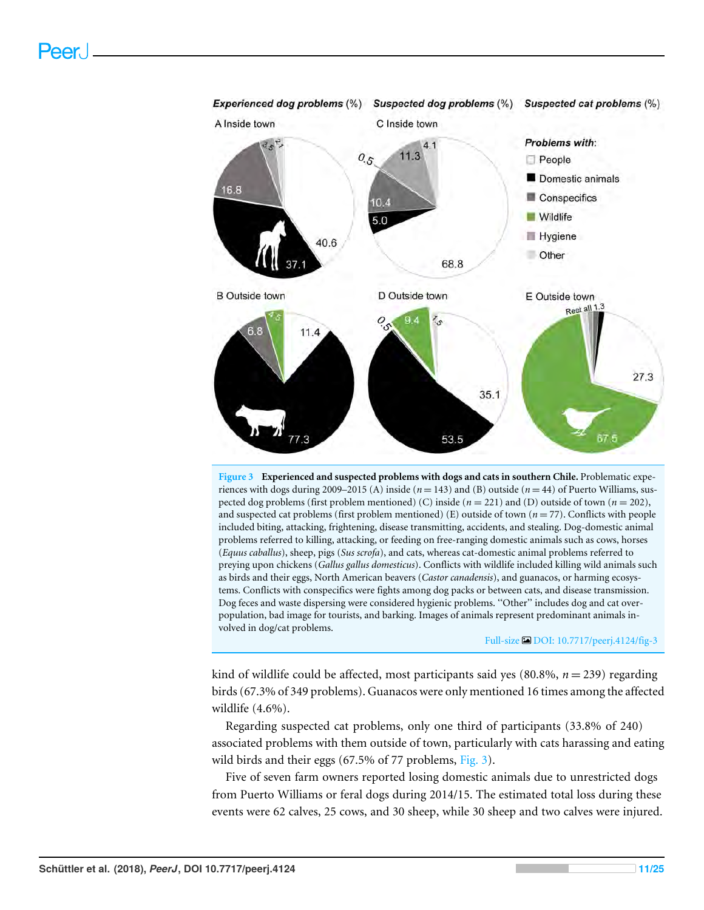<span id="page-10-0"></span>

**Figure 3 Experienced and suspected problems with dogs and cats in southern Chile.** Problematic experiences with dogs during 2009–2015 (A) inside  $(n = 143)$  and (B) outside  $(n = 44)$  of Puerto Williams, suspected dog problems (first problem mentioned) (C) inside  $(n = 221)$  and (D) outside of town  $(n = 202)$ , and suspected cat problems (first problem mentioned) (E) outside of town (*n* = 77). Conflicts with people included biting, attacking, frightening, disease transmitting, accidents, and stealing. Dog-domestic animal problems referred to killing, attacking, or feeding on free-ranging domestic animals such as cows, horses (*Equus caballus*), sheep, pigs (*Sus scrofa*), and cats, whereas cat-domestic animal problems referred to preying upon chickens (*Gallus gallus domesticus*). Conflicts with wildlife included killing wild animals such as birds and their eggs, North American beavers (*Castor canadensis*), and guanacos, or harming ecosystems. Conflicts with conspecifics were fights among dog packs or between cats, and disease transmission. Dog feces and waste dispersing were considered hygienic problems. ''Other'' includes dog and cat overpopulation, bad image for tourists, and barking. Images of animals represent predominant animals involved in dog/cat problems.

#### Full-size DOI: [10.7717/peerj.4124/fig-3](https://doi.org/10.7717/peerj.4124/fig-3)

kind of wildlife could be affected, most participants said yes  $(80.8\%, n = 239)$  regarding birds (67.3% of 349 problems). Guanacos were only mentioned 16 times among the affected wildlife (4.6%).

Regarding suspected cat problems, only one third of participants (33.8% of 240) associated problems with them outside of town, particularly with cats harassing and eating wild birds and their eggs (67.5% of 77 problems, [Fig. 3\)](#page-10-0).

Five of seven farm owners reported losing domestic animals due to unrestricted dogs from Puerto Williams or feral dogs during 2014/15. The estimated total loss during these events were 62 calves, 25 cows, and 30 sheep, while 30 sheep and two calves were injured.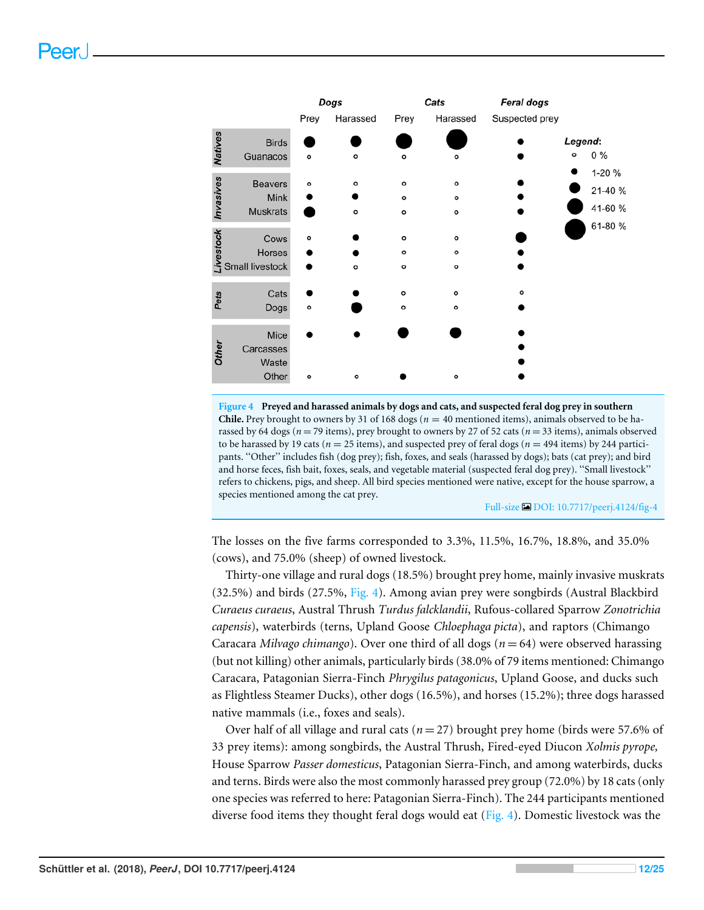<span id="page-11-0"></span>

|                 |                        | Dogs      |          | Cats         |              | <b>Feral dogs</b> |         |         |
|-----------------|------------------------|-----------|----------|--------------|--------------|-------------------|---------|---------|
|                 |                        | Prey      | Harassed | Prey         | Harassed     | Suspected prey    |         |         |
| <b>Natives</b>  | <b>Birds</b>           |           |          |              |              |                   | Legend: |         |
|                 | Guanacos               | ۰         | ۰        | $\circ$      | ۰            |                   | $\circ$ | $0\%$   |
|                 |                        |           | ۰        | $\circ$      | $\circ$      |                   |         | 1-20 %  |
|                 | <b>Beavers</b><br>Mink | ۰         |          | $\circ$      | $\circ$      |                   |         | 21-40 % |
| Invasives       | <b>Muskrats</b>        |           | ۰        | $\circ$      | $\mathbf{o}$ |                   |         | 41-60 % |
|                 |                        |           |          |              |              |                   |         | 61-80 % |
| <b>ivestock</b> | Cows                   | $\bullet$ |          | $\circ$      | $\circ$      |                   |         |         |
|                 | Horses                 |           |          | $\circ$      | $\mathbf{o}$ |                   |         |         |
|                 | <b>Small livestock</b> |           | $\circ$  | $\circ$      | $\circ$      |                   |         |         |
|                 |                        |           |          |              |              |                   |         |         |
| Pets            | Cats                   |           |          | $\circ$      | $\circ$      | $\circ$           |         |         |
|                 | Dogs                   | $\circ$   |          | $\mathbf{o}$ | ۰            |                   |         |         |
|                 |                        |           |          |              |              |                   |         |         |
|                 | Mice<br>Carcasses      |           |          |              |              |                   |         |         |
| <b>Other</b>    | Waste                  |           |          |              |              |                   |         |         |
|                 | Other                  | $\circ$   | ۰        |              | $\circ$      |                   |         |         |
|                 |                        |           |          |              |              |                   |         |         |

**Figure 4 Preyed and harassed animals by dogs and cats, and suspected feral dog prey in southern Chile.** Prey brought to owners by 31 of 168 dogs ( $n = 40$  mentioned items), animals observed to be harassed by 64 dogs ( $n = 79$  items), prey brought to owners by 27 of 52 cats ( $n = 33$  items), animals observed to be harassed by 19 cats ( $n = 25$  items), and suspected prey of feral dogs ( $n = 494$  items) by 244 participants. ''Other'' includes fish (dog prey); fish, foxes, and seals (harassed by dogs); bats (cat prey); and bird and horse feces, fish bait, foxes, seals, and vegetable material (suspected feral dog prey). ''Small livestock'' refers to chickens, pigs, and sheep. All bird species mentioned were native, except for the house sparrow, a species mentioned among the cat prey.

Full-size [DOI: 10.7717/peerj.4124/fig-4](https://doi.org/10.7717/peerj.4124/fig-4)

The losses on the five farms corresponded to 3.3%, 11.5%, 16.7%, 18.8%, and 35.0% (cows), and 75.0% (sheep) of owned livestock.

Thirty-one village and rural dogs (18.5%) brought prey home, mainly invasive muskrats (32.5%) and birds (27.5%, [Fig. 4\)](#page-11-0). Among avian prey were songbirds (Austral Blackbird *Curaeus curaeus*, Austral Thrush *Turdus falcklandii*, Rufous-collared Sparrow *Zonotrichia capensis*), waterbirds (terns, Upland Goose *Chloephaga picta*), and raptors (Chimango Caracara *Milvago chimango*). Over one third of all dogs (*n* = 64) were observed harassing (but not killing) other animals, particularly birds (38.0% of 79 items mentioned: Chimango Caracara, Patagonian Sierra-Finch *Phrygilus patagonicus*, Upland Goose, and ducks such as Flightless Steamer Ducks), other dogs (16.5%), and horses (15.2%); three dogs harassed native mammals (i.e., foxes and seals).

Over half of all village and rural cats  $(n=27)$  brought prey home (birds were 57.6% of 33 prey items): among songbirds, the Austral Thrush, Fired-eyed Diucon *Xolmis pyrope,* House Sparrow *Passer domesticus*, Patagonian Sierra-Finch, and among waterbirds, ducks and terns. Birds were also the most commonly harassed prey group (72.0%) by 18 cats (only one species was referred to here: Patagonian Sierra-Finch). The 244 participants mentioned diverse food items they thought feral dogs would eat [\(Fig. 4\)](#page-11-0). Domestic livestock was the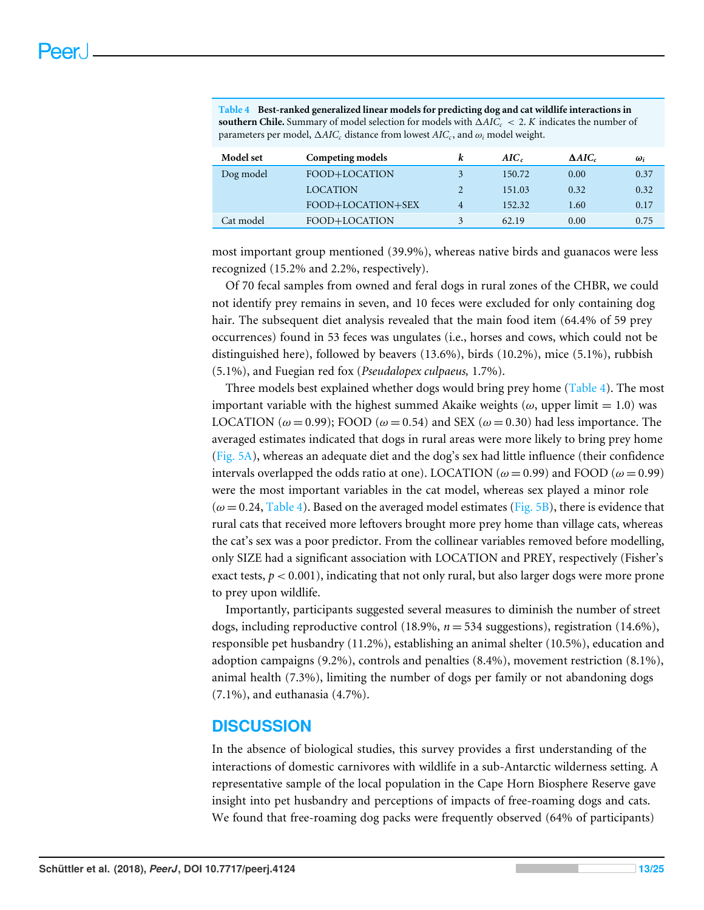<span id="page-12-0"></span>**Table 4 Best-ranked generalized linear models for predicting dog and cat wildlife interactions in southern Chile.** Summary of model selection for models with  $\Delta AIC_c < 2$ . *K* indicates the number of parameters per model,  $\Delta AIC_c$  distance from lowest  $AIC_c$ , and  $\omega_i$  model weight.

| <b>Model</b> set | Competing models  |   | $AIC_{c}$ | $\Delta AIC_c$ | $\omega_i$ |
|------------------|-------------------|---|-----------|----------------|------------|
| Dog model        | FOOD+LOCATION     |   | 150.72    | 0.00           | 0.37       |
|                  | <b>LOCATION</b>   |   | 151.03    | 0.32           | 0.32       |
|                  | FOOD+LOCATION+SEX | 4 | 152.32    | 1.60           | 0.17       |
| Cat model        | FOOD+LOCATION     |   | 62.19     | 0.00           | 0.75       |

most important group mentioned (39.9%), whereas native birds and guanacos were less recognized (15.2% and 2.2%, respectively).

Of 70 fecal samples from owned and feral dogs in rural zones of the CHBR, we could not identify prey remains in seven, and 10 feces were excluded for only containing dog hair. The subsequent diet analysis revealed that the main food item (64.4% of 59 prey occurrences) found in 53 feces was ungulates (i.e., horses and cows, which could not be distinguished here), followed by beavers (13.6%), birds (10.2%), mice (5.1%), rubbish (5.1%), and Fuegian red fox (*Pseudalopex culpaeus,* 1.7%).

Three models best explained whether dogs would bring prey home [\(Table 4\)](#page-12-0). The most important variable with the highest summed Akaike weights ( $\omega$ , upper limit = 1.0) was LOCATION ( $\omega$  = 0.99); FOOD ( $\omega$  = 0.54) and SEX ( $\omega$  = 0.30) had less importance. The averaged estimates indicated that dogs in rural areas were more likely to bring prey home [\(Fig. 5A\)](#page-13-0), whereas an adequate diet and the dog's sex had little influence (their confidence intervals overlapped the odds ratio at one). LOCATION ( $\omega$  = 0.99) and FOOD ( $\omega$  = 0.99) were the most important variables in the cat model, whereas sex played a minor role  $(\omega = 0.24,$  [Table 4\)](#page-12-0). Based on the averaged model estimates [\(Fig. 5B\)](#page-13-0), there is evidence that rural cats that received more leftovers brought more prey home than village cats, whereas the cat's sex was a poor predictor. From the collinear variables removed before modelling, only SIZE had a significant association with LOCATION and PREY, respectively (Fisher's exact tests,  $p < 0.001$ ), indicating that not only rural, but also larger dogs were more prone to prey upon wildlife.

Importantly, participants suggested several measures to diminish the number of street dogs, including reproductive control (18.9%, *n* = 534 suggestions), registration (14.6%), responsible pet husbandry (11.2%), establishing an animal shelter (10.5%), education and adoption campaigns (9.2%), controls and penalties (8.4%), movement restriction (8.1%), animal health (7.3%), limiting the number of dogs per family or not abandoning dogs (7.1%), and euthanasia (4.7%).

## **DISCUSSION**

In the absence of biological studies, this survey provides a first understanding of the interactions of domestic carnivores with wildlife in a sub-Antarctic wilderness setting. A representative sample of the local population in the Cape Horn Biosphere Reserve gave insight into pet husbandry and perceptions of impacts of free-roaming dogs and cats. We found that free-roaming dog packs were frequently observed (64% of participants)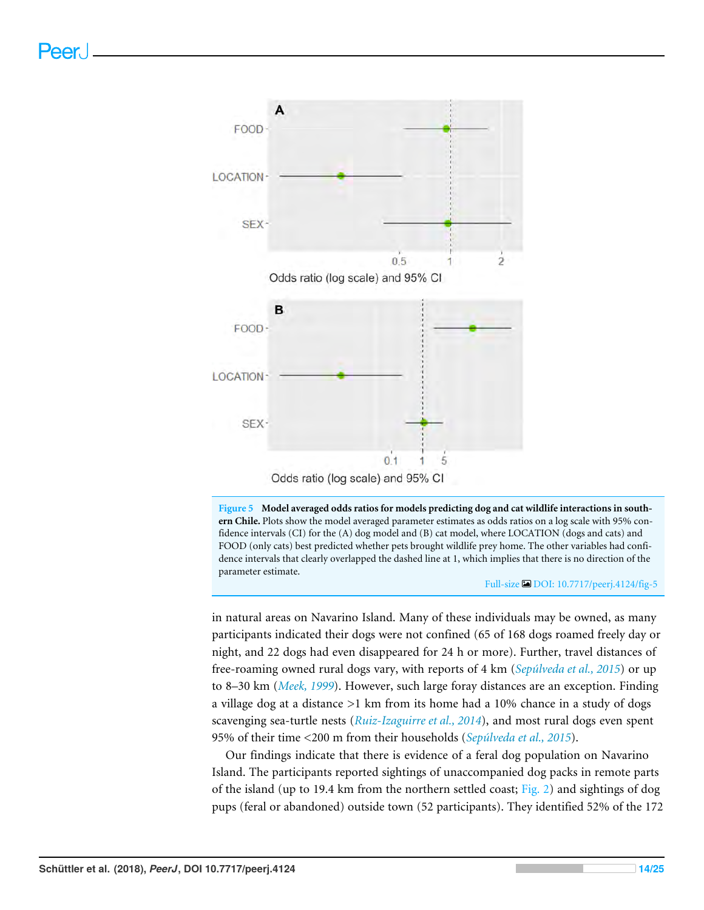<span id="page-13-0"></span>



#### Full-size [DOI: 10.7717/peerj.4124/fig-5](https://doi.org/10.7717/peerj.4124/fig-5)

in natural areas on Navarino Island. Many of these individuals may be owned, as many participants indicated their dogs were not confined (65 of 168 dogs roamed freely day or night, and 22 dogs had even disappeared for 24 h or more). Further, travel distances of free-roaming owned rural dogs vary, with reports of 4 km (*[Sepúlveda et al., 2015](#page-23-9)*) or up to 8–30 km (*[Meek, 1999](#page-21-9)*). However, such large foray distances are an exception. Finding a village dog at a distance >1 km from its home had a 10% chance in a study of dogs scavenging sea-turtle nests (*[Ruiz-Izaguirre et al., 2014](#page-22-5)*), and most rural dogs even spent 95% of their time <200 m from their households (*[Sepúlveda et al., 2015](#page-23-9)*).

Our findings indicate that there is evidence of a feral dog population on Navarino Island. The participants reported sightings of unaccompanied dog packs in remote parts of the island (up to 19.4 km from the northern settled coast; [Fig. 2\)](#page-9-0) and sightings of dog pups (feral or abandoned) outside town (52 participants). They identified 52% of the 172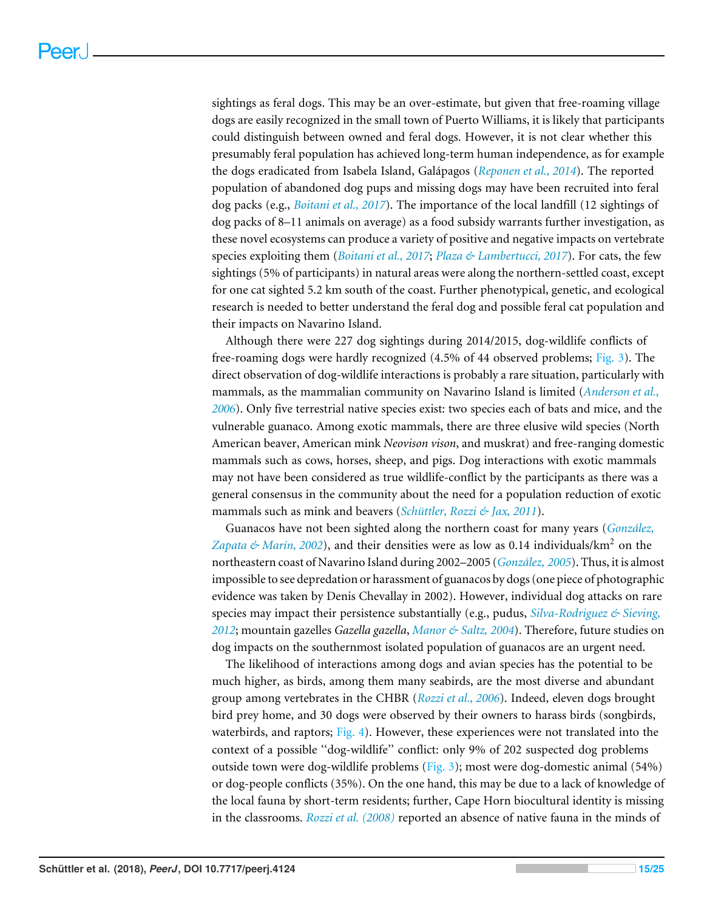sightings as feral dogs. This may be an over-estimate, but given that free-roaming village dogs are easily recognized in the small town of Puerto Williams, it is likely that participants could distinguish between owned and feral dogs. However, it is not clear whether this presumably feral population has achieved long-term human independence, as for example the dogs eradicated from Isabela Island, Galápagos (*[Reponen et al., 2014](#page-22-6)*). The reported population of abandoned dog pups and missing dogs may have been recruited into feral dog packs (e.g., *[Boitani et al., 2017](#page-18-4)*). The importance of the local landfill (12 sightings of dog packs of 8–11 animals on average) as a food subsidy warrants further investigation, as these novel ecosystems can produce a variety of positive and negative impacts on vertebrate species exploiting them (*[Boitani et al., 2017](#page-18-4)*; *[Plaza & Lambertucci, 2017](#page-22-7)*). For cats, the few sightings (5% of participants) in natural areas were along the northern-settled coast, except for one cat sighted 5.2 km south of the coast. Further phenotypical, genetic, and ecological research is needed to better understand the feral dog and possible feral cat population and their impacts on Navarino Island.

Although there were 227 dog sightings during 2014/2015, dog-wildlife conflicts of free-roaming dogs were hardly recognized (4.5% of 44 observed problems; [Fig. 3\)](#page-10-0). The direct observation of dog-wildlife interactions is probably a rare situation, particularly with mammals, as the mammalian community on Navarino Island is limited (*[Anderson et al.,](#page-18-2) [2006](#page-18-2)*). Only five terrestrial native species exist: two species each of bats and mice, and the vulnerable guanaco. Among exotic mammals, there are three elusive wild species (North American beaver, American mink *Neovison vison*, and muskrat) and free-ranging domestic mammals such as cows, horses, sheep, and pigs. Dog interactions with exotic mammals may not have been considered as true wildlife-conflict by the participants as there was a general consensus in the community about the need for a population reduction of exotic mammals such as mink and beavers (*[Schüttler, Rozzi & Jax, 2011](#page-22-8)*).

Guanacos have not been sighted along the northern coast for many years (*[González,](#page-20-7)* [Zapata & Marín, 2002](#page-20-7)), and their densities were as low as 0.14 individuals/km<sup>2</sup> on the northeastern coast of Navarino Island during 2002–2005 (*[González, 2005](#page-19-6)*). Thus, it is almost impossible to see depredation or harassment of guanacos by dogs (one piece of photographic evidence was taken by Denis Chevallay in 2002). However, individual dog attacks on rare species may impact their persistence substantially (e.g., pudus, *[Silva-Rodriguez & Sieving,](#page-23-3) [2012](#page-23-3)*; mountain gazelles *Gazella gazella*, *[Manor & Saltz, 2004](#page-21-3)*). Therefore, future studies on dog impacts on the southernmost isolated population of guanacos are an urgent need.

The likelihood of interactions among dogs and avian species has the potential to be much higher, as birds, among them many seabirds, are the most diverse and abundant group among vertebrates in the CHBR (*[Rozzi et al., 2006](#page-22-9)*). Indeed, eleven dogs brought bird prey home, and 30 dogs were observed by their owners to harass birds (songbirds, waterbirds, and raptors;  $Fig. 4$ ). However, these experiences were not translated into the context of a possible ''dog-wildlife'' conflict: only 9% of 202 suspected dog problems outside town were dog-wildlife problems ( $Fig. 3$ ); most were dog-domestic animal (54%) or dog-people conflicts (35%). On the one hand, this may be due to a lack of knowledge of the local fauna by short-term residents; further, Cape Horn biocultural identity is missing in the classrooms. *[Rozzi et al. \(2008\)](#page-22-10)* reported an absence of native fauna in the minds of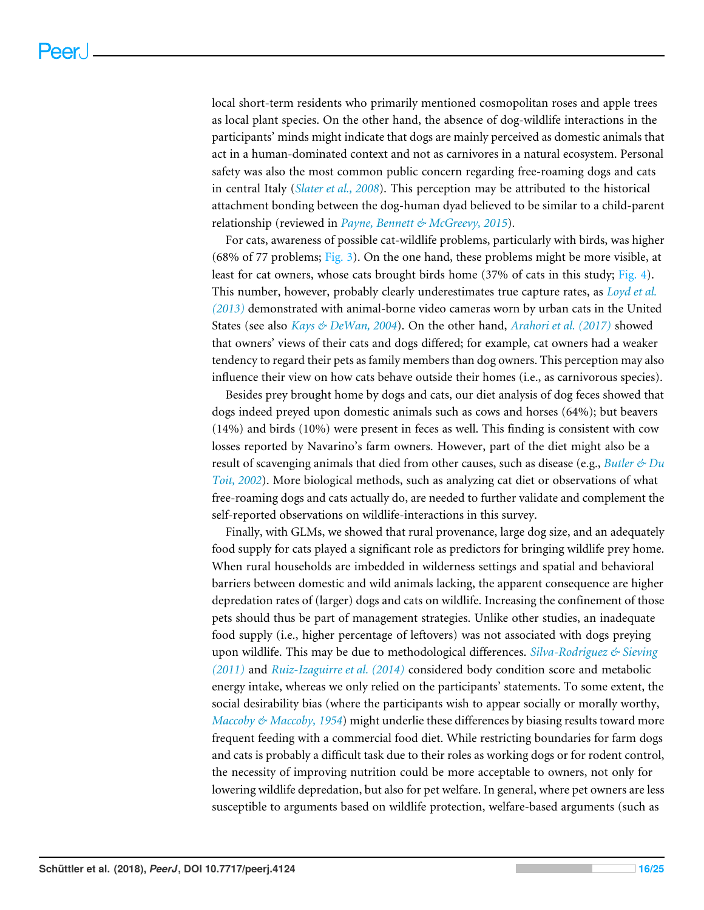local short-term residents who primarily mentioned cosmopolitan roses and apple trees as local plant species. On the other hand, the absence of dog-wildlife interactions in the participants' minds might indicate that dogs are mainly perceived as domestic animals that act in a human-dominated context and not as carnivores in a natural ecosystem. Personal safety was also the most common public concern regarding free-roaming dogs and cats in central Italy (*[Slater et al., 2008](#page-23-10)*). This perception may be attributed to the historical attachment bonding between the dog-human dyad believed to be similar to a child-parent relationship (reviewed in *[Payne, Bennett & McGreevy, 2015](#page-21-10)*).

For cats, awareness of possible cat-wildlife problems, particularly with birds, was higher (68% of 77 problems; [Fig. 3\)](#page-10-0). On the one hand, these problems might be more visible, at least for cat owners, whose cats brought birds home  $(37%$  of cats in this study; [Fig. 4\)](#page-11-0). This number, however, probably clearly underestimates true capture rates, as *[Loyd et al.](#page-20-4) [\(2013\)](#page-20-4)* demonstrated with animal-borne video cameras worn by urban cats in the United States (see also *[Kays & DeWan, 2004](#page-20-2)*). On the other hand, *[Arahori et al. \(2017\)](#page-18-5)* showed that owners' views of their cats and dogs differed; for example, cat owners had a weaker tendency to regard their pets as family members than dog owners. This perception may also influence their view on how cats behave outside their homes (i.e., as carnivorous species).

Besides prey brought home by dogs and cats, our diet analysis of dog feces showed that dogs indeed preyed upon domestic animals such as cows and horses (64%); but beavers (14%) and birds (10%) were present in feces as well. This finding is consistent with cow losses reported by Navarino's farm owners. However, part of the diet might also be a result of scavenging animals that died from other causes, such as disease (e.g., *[Butler & Du](#page-19-9) [Toit, 2002](#page-19-9)*). More biological methods, such as analyzing cat diet or observations of what free-roaming dogs and cats actually do, are needed to further validate and complement the self-reported observations on wildlife-interactions in this survey.

Finally, with GLMs, we showed that rural provenance, large dog size, and an adequately food supply for cats played a significant role as predictors for bringing wildlife prey home. When rural households are imbedded in wilderness settings and spatial and behavioral barriers between domestic and wild animals lacking, the apparent consequence are higher depredation rates of (larger) dogs and cats on wildlife. Increasing the confinement of those pets should thus be part of management strategies. Unlike other studies, an inadequate food supply (i.e., higher percentage of leftovers) was not associated with dogs preying upon wildlife. This may be due to methodological differences. *[Silva-Rodriguez & Sieving](#page-23-11) [\(2011\)](#page-23-11)* and *[Ruiz-Izaguirre et al. \(2014\)](#page-22-5)* considered body condition score and metabolic energy intake, whereas we only relied on the participants' statements. To some extent, the social desirability bias (where the participants wish to appear socially or morally worthy, *[Maccoby & Maccoby, 1954](#page-21-11)*) might underlie these differences by biasing results toward more frequent feeding with a commercial food diet. While restricting boundaries for farm dogs and cats is probably a difficult task due to their roles as working dogs or for rodent control, the necessity of improving nutrition could be more acceptable to owners, not only for lowering wildlife depredation, but also for pet welfare. In general, where pet owners are less susceptible to arguments based on wildlife protection, welfare-based arguments (such as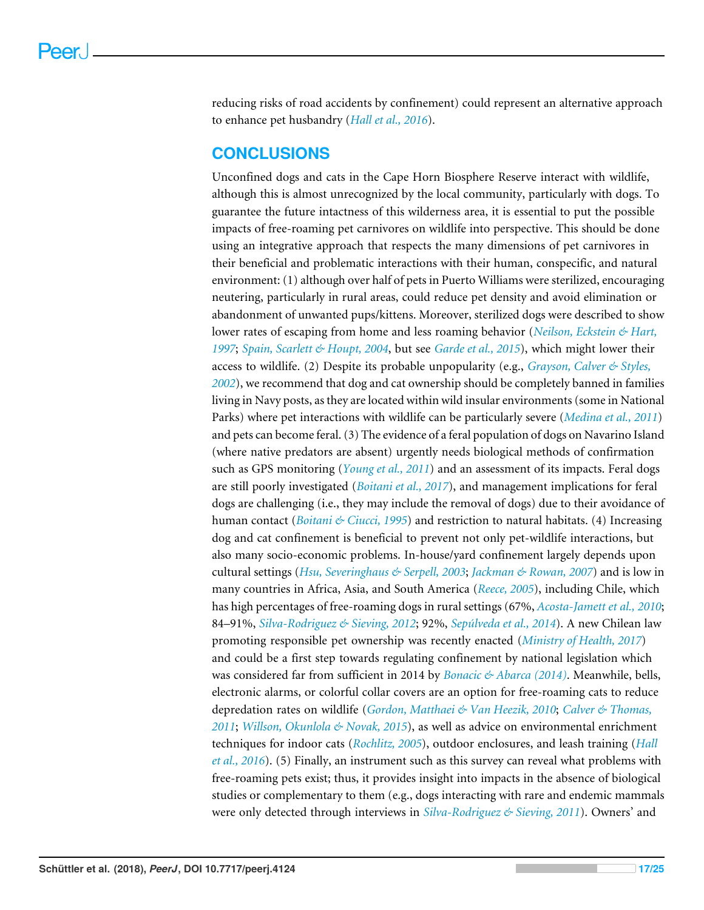reducing risks of road accidents by confinement) could represent an alternative approach to enhance pet husbandry (*[Hall et al., 2016](#page-20-8)*).

## **CONCLUSIONS**

Unconfined dogs and cats in the Cape Horn Biosphere Reserve interact with wildlife, although this is almost unrecognized by the local community, particularly with dogs. To guarantee the future intactness of this wilderness area, it is essential to put the possible impacts of free-roaming pet carnivores on wildlife into perspective. This should be done using an integrative approach that respects the many dimensions of pet carnivores in their beneficial and problematic interactions with their human, conspecific, and natural environment: (1) although over half of pets in Puerto Williams were sterilized, encouraging neutering, particularly in rural areas, could reduce pet density and avoid elimination or abandonment of unwanted pups/kittens. Moreover, sterilized dogs were described to show lower rates of escaping from home and less roaming behavior (*[Neilson, Eckstein & Hart,](#page-21-12) [1997](#page-21-12)*; *[Spain, Scarlett & Houpt, 2004](#page-23-12)*, but see *[Garde et al., 2015](#page-19-10)*), which might lower their access to wildlife. (2) Despite its probable unpopularity (e.g., *[Grayson, Calver & Styles,](#page-20-9) [2002](#page-20-9)*), we recommend that dog and cat ownership should be completely banned in families living in Navy posts, as they are located within wild insular environments (some in National Parks) where pet interactions with wildlife can be particularly severe (*[Medina et al., 2011](#page-21-5)*) and pets can become feral. (3) The evidence of a feral population of dogs on Navarino Island (where native predators are absent) urgently needs biological methods of confirmation such as GPS monitoring (*[Young et al., 2011](#page-24-0)*) and an assessment of its impacts. Feral dogs are still poorly investigated (*[Boitani et al., 2017](#page-18-4)*), and management implications for feral dogs are challenging (i.e., they may include the removal of dogs) due to their avoidance of human contact (*[Boitani & Ciucci, 1995](#page-18-6)*) and restriction to natural habitats. (4) Increasing dog and cat confinement is beneficial to prevent not only pet-wildlife interactions, but also many socio-economic problems. In-house/yard confinement largely depends upon cultural settings (*[Hsu, Severinghaus & Serpell, 2003](#page-20-10)*; *[Jackman & Rowan, 2007](#page-20-11)*) and is low in many countries in Africa, Asia, and South America (*[Reece, 2005](#page-22-11)*), including Chile, which has high percentages of free-roaming dogs in rural settings (67%, *[Acosta-Jamett et al., 2010](#page-18-7)*; 84–91%, *[Silva-Rodriguez & Sieving, 2012](#page-23-3)*; 92%, *[Sepúlveda et al., 2014](#page-23-5)*). A new Chilean law promoting responsible pet ownership was recently enacted (*[Ministry of Health, 2017](#page-21-13)*) and could be a first step towards regulating confinement by national legislation which was considered far from sufficient in 2014 by *[Bonacic & Abarca \(2014\)](#page-18-8)*. Meanwhile, bells, electronic alarms, or colorful collar covers are an option for free-roaming cats to reduce depredation rates on wildlife (*[Gordon, Matthaei & Van Heezik, 2010](#page-20-12)*; *[Calver & Thomas,](#page-19-11) [2011](#page-19-11)*; *[Willson, Okunlola & Novak, 2015](#page-24-3)*), as well as advice on environmental enrichment techniques for indoor cats (*[Rochlitz, 2005](#page-22-12)*), outdoor enclosures, and leash training (*[Hall](#page-20-8) [et al., 2016](#page-20-8)*). (5) Finally, an instrument such as this survey can reveal what problems with free-roaming pets exist; thus, it provides insight into impacts in the absence of biological studies or complementary to them (e.g., dogs interacting with rare and endemic mammals were only detected through interviews in *[Silva-Rodriguez & Sieving, 2011](#page-23-11)*). Owners' and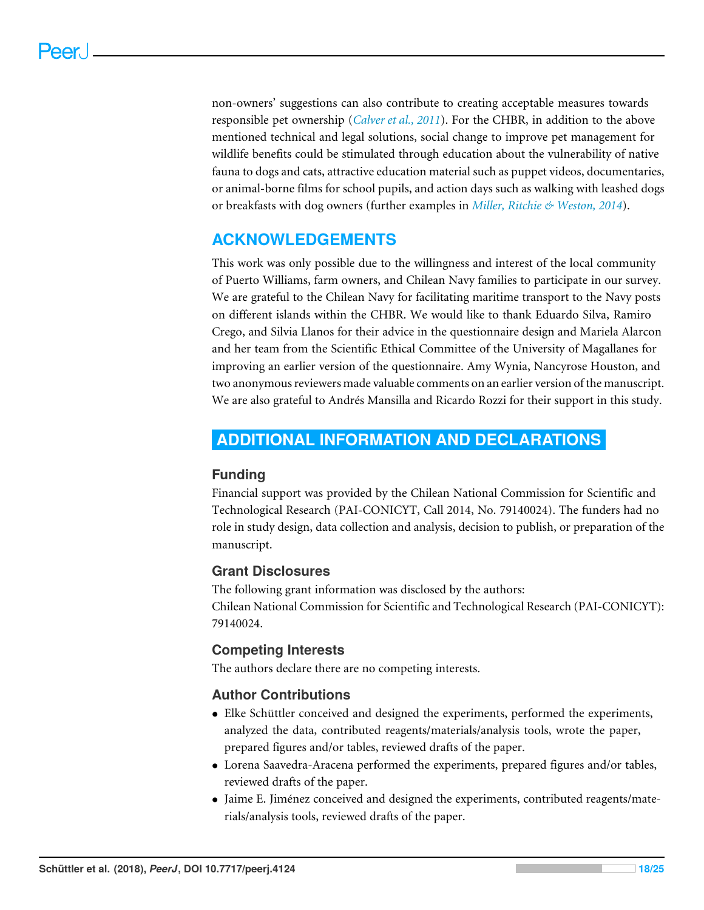non-owners' suggestions can also contribute to creating acceptable measures towards responsible pet ownership (*[Calver et al., 2011](#page-19-12)*). For the CHBR, in addition to the above mentioned technical and legal solutions, social change to improve pet management for wildlife benefits could be stimulated through education about the vulnerability of native fauna to dogs and cats, attractive education material such as puppet videos, documentaries, or animal-borne films for school pupils, and action days such as walking with leashed dogs or breakfasts with dog owners (further examples in *[Miller, Ritchie & Weston, 2014](#page-21-1)*).

## **ACKNOWLEDGEMENTS**

This work was only possible due to the willingness and interest of the local community of Puerto Williams, farm owners, and Chilean Navy families to participate in our survey. We are grateful to the Chilean Navy for facilitating maritime transport to the Navy posts on different islands within the CHBR. We would like to thank Eduardo Silva, Ramiro Crego, and Silvia Llanos for their advice in the questionnaire design and Mariela Alarcon and her team from the Scientific Ethical Committee of the University of Magallanes for improving an earlier version of the questionnaire. Amy Wynia, Nancyrose Houston, and two anonymous reviewers made valuable comments on an earlier version of the manuscript. We are also grateful to Andrés Mansilla and Ricardo Rozzi for their support in this study.

## <span id="page-17-0"></span>**ADDITIONAL INFORMATION AND DECLARATIONS**

#### **Funding**

Financial support was provided by the Chilean National Commission for Scientific and Technological Research (PAI-CONICYT, Call 2014, No. 79140024). The funders had no role in study design, data collection and analysis, decision to publish, or preparation of the manuscript.

## **Grant Disclosures**

The following grant information was disclosed by the authors: Chilean National Commission for Scientific and Technological Research (PAI-CONICYT): 79140024.

## **Competing Interests**

The authors declare there are no competing interests.

## **Author Contributions**

- [Elke Schüttler](#page-0-4) conceived and designed the experiments, performed the experiments, analyzed the data, contributed reagents/materials/analysis tools, wrote the paper, prepared figures and/or tables, reviewed drafts of the paper.
- [Lorena Saavedra-Aracena](#page-0-5) performed the experiments, prepared figures and/or tables, reviewed drafts of the paper.
- [Jaime E. Jiménez](#page-0-6) conceived and designed the experiments, contributed reagents/materials/analysis tools, reviewed drafts of the paper.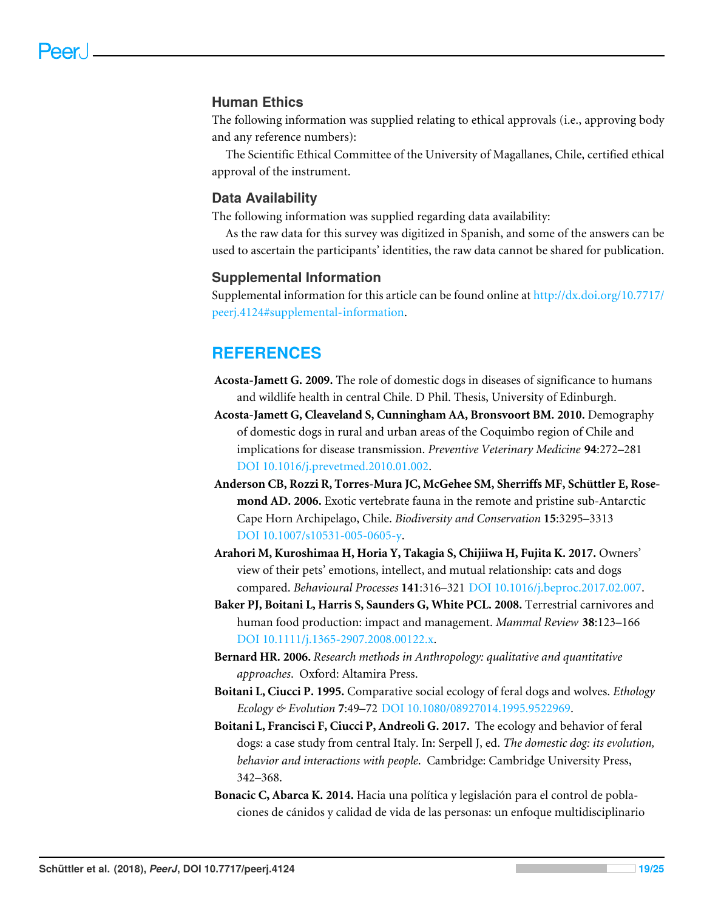#### **Human Ethics**

The following information was supplied relating to ethical approvals (i.e., approving body and any reference numbers):

The Scientific Ethical Committee of the University of Magallanes, Chile, certified ethical approval of the instrument.

#### **Data Availability**

The following information was supplied regarding data availability:

As the raw data for this survey was digitized in Spanish, and some of the answers can be used to ascertain the participants' identities, the raw data cannot be shared for publication.

#### **Supplemental Information**

Supplemental information for this article can be found online at [http://dx.doi.org/10.7717/](http://dx.doi.org/10.7717/peerj.4124#supplemental-information) [peerj.4124#supplemental-information.](http://dx.doi.org/10.7717/peerj.4124#supplemental-information)

## **REFERENCES**

- <span id="page-18-1"></span>**Acosta-Jamett G. 2009.** The role of domestic dogs in diseases of significance to humans and wildlife health in central Chile. D Phil. Thesis, University of Edinburgh.
- <span id="page-18-7"></span>**Acosta-Jamett G, Cleaveland S, Cunningham AA, Bronsvoort BM. 2010.** Demography of domestic dogs in rural and urban areas of the Coquimbo region of Chile and implications for disease transmission. *Preventive Veterinary Medicine* **94**:272–281 [DOI 10.1016/j.prevetmed.2010.01.002.](http://dx.doi.org/10.1016/j.prevetmed.2010.01.002)
- <span id="page-18-2"></span>**Anderson CB, Rozzi R, Torres-Mura JC, McGehee SM, Sherriffs MF, Schüttler E, Rosemond AD. 2006.** Exotic vertebrate fauna in the remote and pristine sub-Antarctic Cape Horn Archipelago, Chile. *Biodiversity and Conservation* **15**:3295–3313 [DOI 10.1007/s10531-005-0605-y.](http://dx.doi.org/10.1007/s10531-005-0605-y)
- <span id="page-18-5"></span>**Arahori M, Kuroshimaa H, Horia Y, Takagia S, Chijiiwa H, Fujita K. 2017.** Owners' view of their pets' emotions, intellect, and mutual relationship: cats and dogs compared. *Behavioural Processes* **141**:316–321 [DOI 10.1016/j.beproc.2017.02.007.](http://dx.doi.org/10.1016/j.beproc.2017.02.007)
- <span id="page-18-0"></span>**Baker PJ, Boitani L, Harris S, Saunders G, White PCL. 2008.** Terrestrial carnivores and human food production: impact and management. *Mammal Review* **38**:123–166 [DOI 10.1111/j.1365-2907.2008.00122.x.](http://dx.doi.org/10.1111/j.1365-2907.2008.00122.x)
- <span id="page-18-3"></span>**Bernard HR. 2006.** *Research methods in Anthropology: qualitative and quantitative approaches*. Oxford: Altamira Press.
- <span id="page-18-6"></span>**Boitani L, Ciucci P. 1995.** Comparative social ecology of feral dogs and wolves. *Ethology Ecology & Evolution* **7**:49–72 [DOI 10.1080/08927014.1995.9522969.](http://dx.doi.org/10.1080/08927014.1995.9522969)
- <span id="page-18-4"></span>**Boitani L, Francisci F, Ciucci P, Andreoli G. 2017.** The ecology and behavior of feral dogs: a case study from central Italy. In: Serpell J, ed. *The domestic dog: its evolution, behavior and interactions with people*. Cambridge: Cambridge University Press, 342–368.
- <span id="page-18-8"></span>**Bonacic C, Abarca K. 2014.** Hacia una política y legislación para el control de poblaciones de cánidos y calidad de vida de las personas: un enfoque multidisciplinario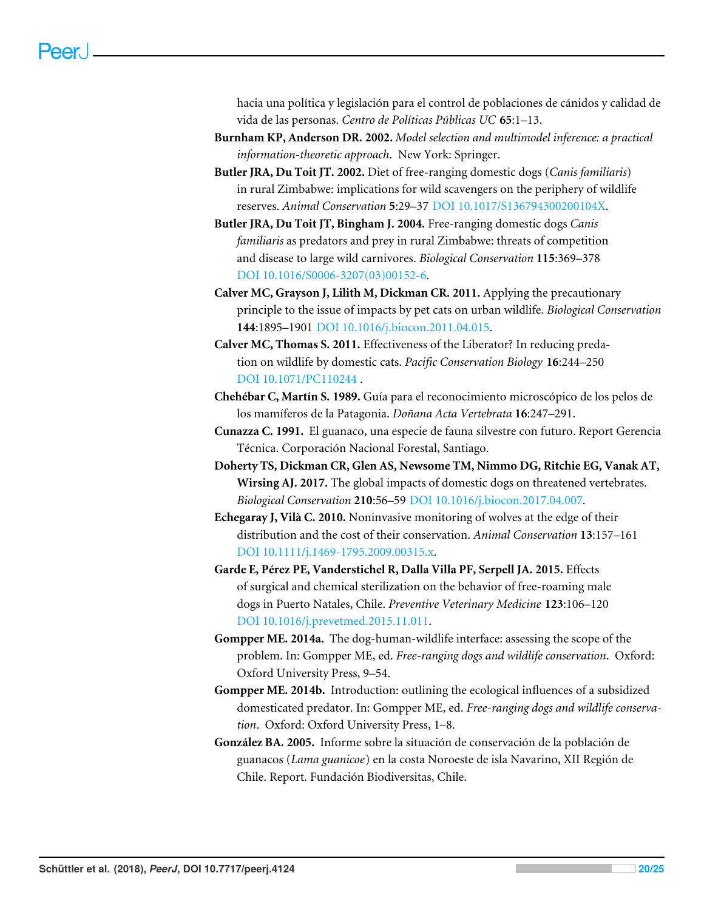hacia una política y legislación para el control de poblaciones de cánidos y calidad de vida de las personas. *Centro de Políticas Públicas UC* **65**:1–13.

- <span id="page-19-8"></span>**Burnham KP, Anderson DR. 2002.** *Model selection and multimodel inference: a practical information-theoretic approach*. New York: Springer.
- <span id="page-19-9"></span>**Butler JRA, Du Toit JT. 2002.** Diet of free-ranging domestic dogs (*Canis familiaris*) in rural Zimbabwe: implications for wild scavengers on the periphery of wildlife reserves. *Animal Conservation* **5**:29–37 [DOI 10.1017/S136794300200104X.](http://dx.doi.org/10.1017/S136794300200104X)
- <span id="page-19-4"></span>**Butler JRA, Du Toit JT, Bingham J. 2004.** Free-ranging domestic dogs *Canis familiaris* as predators and prey in rural Zimbabwe: threats of competition and disease to large wild carnivores. *Biological Conservation* **115**:369–378 [DOI 10.1016/S0006-3207\(03\)00152-6.](http://dx.doi.org/10.1016/S0006-3207(03)00152-6)
- <span id="page-19-12"></span>**Calver MC, Grayson J, Lilith M, Dickman CR. 2011.** Applying the precautionary principle to the issue of impacts by pet cats on urban wildlife. *Biological Conservation* **144**:1895–1901 [DOI 10.1016/j.biocon.2011.04.015.](http://dx.doi.org/10.1016/j.biocon.2011.04.015)
- <span id="page-19-11"></span>**Calver MC, Thomas S. 2011.** Effectiveness of the Liberator? In reducing predation on wildlife by domestic cats. *Pacific Conservation Biology* **16**:244–250 [DOI 10.1071/PC110244](http://dx.doi.org/10.1071/PC110244 ) .
- <span id="page-19-7"></span>**Chehébar C, Martín S. 1989.** Guía para el reconocimiento microscópico de los pelos de los mamíferos de la Patagonia. *Doñana Acta Vertebrata* **16**:247–291.
- <span id="page-19-5"></span>**Cunazza C. 1991.** El guanaco, una especie de fauna silvestre con futuro. Report Gerencia Técnica. Corporación Nacional Forestal, Santiago.
- <span id="page-19-3"></span>**Doherty TS, Dickman CR, Glen AS, Newsome TM, Nimmo DG, Ritchie EG, Vanak AT, Wirsing AJ. 2017.** The global impacts of domestic dogs on threatened vertebrates. *Biological Conservation* **210**:56–59 [DOI 10.1016/j.biocon.2017.04.007.](http://dx.doi.org/10.1016/j.biocon.2017.04.007)
- <span id="page-19-2"></span>**Echegaray J, Vilà C. 2010.** Noninvasive monitoring of wolves at the edge of their distribution and the cost of their conservation. *Animal Conservation* **13**:157–161 [DOI 10.1111/j.1469-1795.2009.00315.x.](http://dx.doi.org/10.1111/j.1469-1795.2009.00315.x)
- <span id="page-19-10"></span>**Garde E, Pérez PE, Vanderstichel R, Dalla Villa PF, Serpell JA. 2015.** Effects of surgical and chemical sterilization on the behavior of free-roaming male dogs in Puerto Natales, Chile. *Preventive Veterinary Medicine* **123**:106–120 [DOI 10.1016/j.prevetmed.2015.11.011.](http://dx.doi.org/10.1016/j.prevetmed.2015.11.011)
- <span id="page-19-0"></span>**Gompper ME. 2014a.** The dog-human-wildlife interface: assessing the scope of the problem. In: Gompper ME, ed. *Free-ranging dogs and wildlife conservation*. Oxford: Oxford University Press, 9–54.
- <span id="page-19-1"></span>**Gompper ME. 2014b.** Introduction: outlining the ecological influences of a subsidized domesticated predator. In: Gompper ME, ed. *Free-ranging dogs and wildlife conservation*. Oxford: Oxford University Press, 1–8.
- <span id="page-19-6"></span>**González BA. 2005.** Informe sobre la situación de conservación de la población de guanacos (*Lama guanicoe*) en la costa Noroeste de isla Navarino, XII Región de Chile. Report. Fundación Biodiversitas, Chile.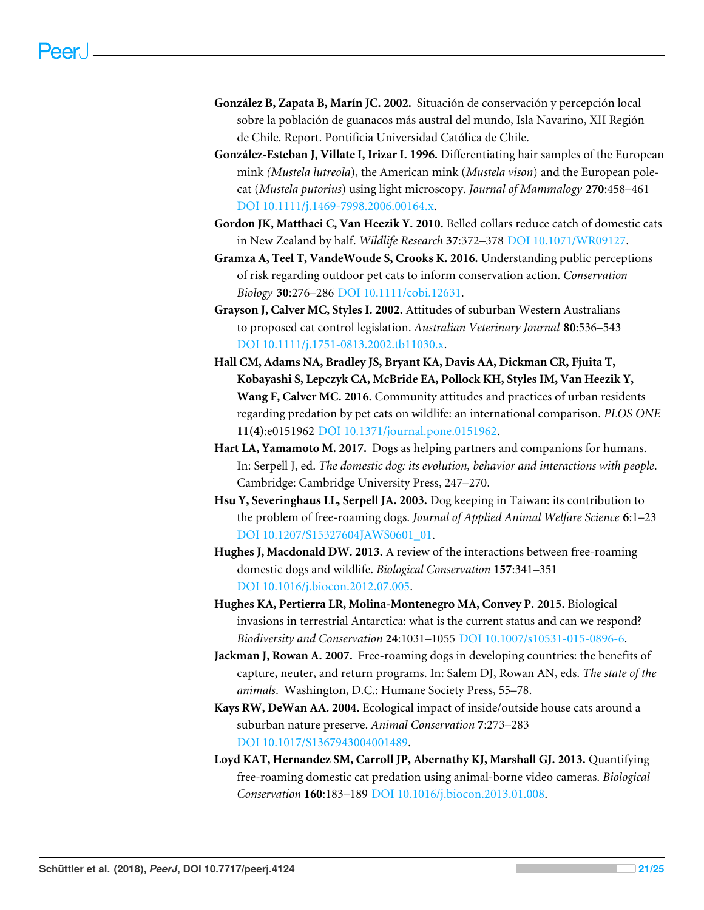- <span id="page-20-7"></span>**González B, Zapata B, Marín JC. 2002.** Situación de conservación y percepción local sobre la población de guanacos más austral del mundo, Isla Navarino, XII Región de Chile. Report. Pontificia Universidad Católica de Chile.
- <span id="page-20-6"></span>**González-Esteban J, Villate I, Irizar I. 1996.** Differentiating hair samples of the European mink *(Mustela lutreola*), the American mink (*Mustela vison*) and the European polecat (*Mustela putorius*) using light microscopy. *Journal of Mammalogy* **270**:458–461 [DOI 10.1111/j.1469-7998.2006.00164.x.](http://dx.doi.org/10.1111/j.1469-7998.2006.00164.x)
- <span id="page-20-12"></span>**Gordon JK, Matthaei C, Van Heezik Y. 2010.** Belled collars reduce catch of domestic cats in New Zealand by half. *Wildlife Research* **37**:372–378 [DOI 10.1071/WR09127.](http://dx.doi.org/10.1071/WR09127)
- <span id="page-20-5"></span>**Gramza A, Teel T, VandeWoude S, Crooks K. 2016.** Understanding public perceptions of risk regarding outdoor pet cats to inform conservation action. *Conservation Biology* **30**:276–286 [DOI 10.1111/cobi.12631.](http://dx.doi.org/10.1111/cobi.12631)
- <span id="page-20-9"></span>**Grayson J, Calver MC, Styles I. 2002.** Attitudes of suburban Western Australians to proposed cat control legislation. *Australian Veterinary Journal* **80**:536–543 [DOI 10.1111/j.1751-0813.2002.tb11030.x.](http://dx.doi.org/10.1111/j.1751-0813.2002.tb11030.x)
- <span id="page-20-8"></span>**Hall CM, Adams NA, Bradley JS, Bryant KA, Davis AA, Dickman CR, Fjuita T, Kobayashi S, Lepczyk CA, McBride EA, Pollock KH, Styles IM, Van Heezik Y, Wang F, Calver MC. 2016.** Community attitudes and practices of urban residents regarding predation by pet cats on wildlife: an international comparison. *PLOS ONE* **11(4)**:e0151962 [DOI 10.1371/journal.pone.0151962.](http://dx.doi.org/10.1371/journal.pone.0151962)
- <span id="page-20-1"></span>**Hart LA, Yamamoto M. 2017.** Dogs as helping partners and companions for humans. In: Serpell J, ed. *The domestic dog: its evolution, behavior and interactions with people*. Cambridge: Cambridge University Press, 247–270.
- <span id="page-20-10"></span>**Hsu Y, Severinghaus LL, Serpell JA. 2003.** Dog keeping in Taiwan: its contribution to the problem of free-roaming dogs. *Journal of Applied Animal Welfare Science* **6**:1–23 [DOI 10.1207/S15327604JAWS0601\\_01.](http://dx.doi.org/10.1207/S15327604JAWS0601_01)
- <span id="page-20-3"></span>**Hughes J, Macdonald DW. 2013.** A review of the interactions between free-roaming domestic dogs and wildlife. *Biological Conservation* **157**:341–351 [DOI 10.1016/j.biocon.2012.07.005.](http://dx.doi.org/10.1016/j.biocon.2012.07.005)
- <span id="page-20-0"></span>**Hughes KA, Pertierra LR, Molina-Montenegro MA, Convey P. 2015.** Biological invasions in terrestrial Antarctica: what is the current status and can we respond? *Biodiversity and Conservation* **24**:1031–1055 [DOI 10.1007/s10531-015-0896-6.](http://dx.doi.org/10.1007/s10531-015-0896-6)
- <span id="page-20-11"></span>**Jackman J, Rowan A. 2007.** Free-roaming dogs in developing countries: the benefits of capture, neuter, and return programs. In: Salem DJ, Rowan AN, eds. *The state of the animals*. Washington, D.C.: Humane Society Press, 55–78.
- <span id="page-20-2"></span>**Kays RW, DeWan AA. 2004.** Ecological impact of inside/outside house cats around a suburban nature preserve. *Animal Conservation* **7**:273–283 [DOI 10.1017/S1367943004001489.](http://dx.doi.org/10.1017/S1367943004001489)
- <span id="page-20-4"></span>**Loyd KAT, Hernandez SM, Carroll JP, Abernathy KJ, Marshall GJ. 2013.** Quantifying free-roaming domestic cat predation using animal-borne video cameras. *Biological Conservation* **160**:183–189 [DOI 10.1016/j.biocon.2013.01.008.](http://dx.doi.org/10.1016/j.biocon.2013.01.008)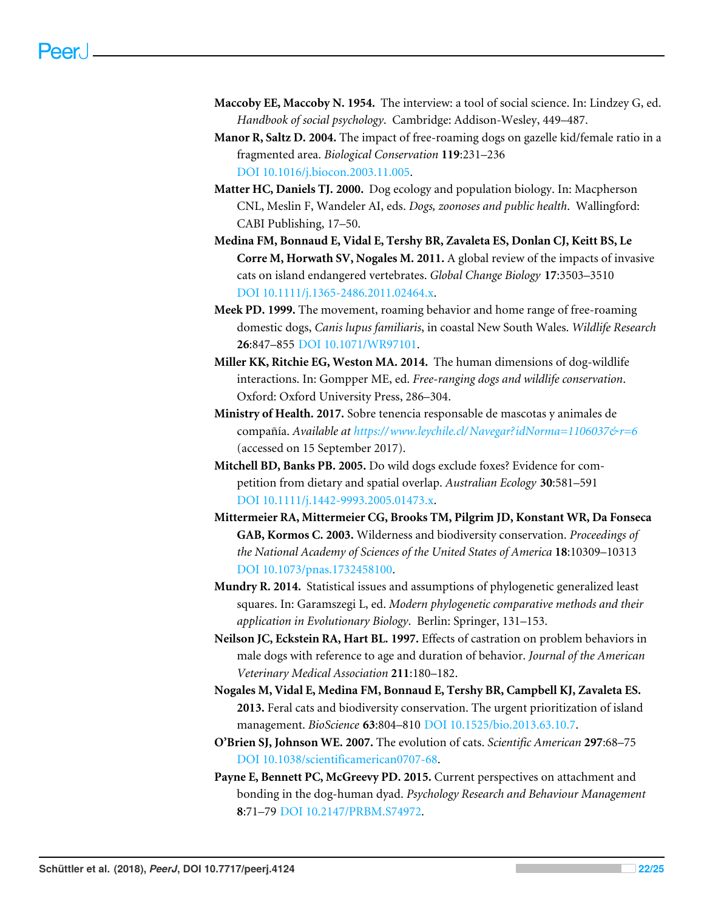- <span id="page-21-11"></span>**Maccoby EE, Maccoby N. 1954.** The interview: a tool of social science. In: Lindzey G, ed. *Handbook of social psychology*. Cambridge: Addison-Wesley, 449–487.
- <span id="page-21-3"></span>**Manor R, Saltz D. 2004.** The impact of free-roaming dogs on gazelle kid/female ratio in a fragmented area. *Biological Conservation* **119**:231–236 [DOI 10.1016/j.biocon.2003.11.005.](http://dx.doi.org/10.1016/j.biocon.2003.11.005)
- <span id="page-21-2"></span>**Matter HC, Daniels TJ. 2000.** Dog ecology and population biology. In: Macpherson CNL, Meslin F, Wandeler AI, eds. *Dogs, zoonoses and public health*. Wallingford: CABI Publishing, 17–50.
- <span id="page-21-5"></span>**Medina FM, Bonnaud E, Vidal E, Tershy BR, Zavaleta ES, Donlan CJ, Keitt BS, Le Corre M, Horwath SV, Nogales M. 2011.** A global review of the impacts of invasive cats on island endangered vertebrates. *Global Change Biology* **17**:3503–3510 [DOI 10.1111/j.1365-2486.2011.02464.x.](http://dx.doi.org/10.1111/j.1365-2486.2011.02464.x)
- <span id="page-21-9"></span>**Meek PD. 1999.** The movement, roaming behavior and home range of free-roaming domestic dogs, *Canis lupus familiaris*, in coastal New South Wales. *Wildlife Research* **26**:847–855 [DOI 10.1071/WR97101.](http://dx.doi.org/10.1071/WR97101)
- <span id="page-21-1"></span>**Miller KK, Ritchie EG, Weston MA. 2014.** The human dimensions of dog-wildlife interactions. In: Gompper ME, ed. *Free-ranging dogs and wildlife conservation*. Oxford: Oxford University Press, 286–304.
- <span id="page-21-13"></span>**Ministry of Health. 2017.** Sobre tenencia responsable de mascotas y animales de compañía. *Available at [https://www.leychile.cl/ Navegar?idNorma=1106037&r=6](https://www.leychile.cl/Navegar?idNorma=1106037&r=6)* (accessed on 15 September 2017).
- <span id="page-21-4"></span>**Mitchell BD, Banks PB. 2005.** Do wild dogs exclude foxes? Evidence for competition from dietary and spatial overlap. *Australian Ecology* **30**:581–591 [DOI 10.1111/j.1442-9993.2005.01473.x.](http://dx.doi.org/10.1111/j.1442-9993.2005.01473.x)
- <span id="page-21-7"></span>**Mittermeier RA, Mittermeier CG, Brooks TM, Pilgrim JD, Konstant WR, Da Fonseca GAB, Kormos C. 2003.** Wilderness and biodiversity conservation. *Proceedings of the National Academy of Sciences of the United States of America* **18**:10309–10313 [DOI 10.1073/pnas.1732458100.](http://dx.doi.org/10.1073/pnas.1732458100)
- <span id="page-21-8"></span>**Mundry R. 2014.** Statistical issues and assumptions of phylogenetic generalized least squares. In: Garamszegi L, ed. *Modern phylogenetic comparative methods and their application in Evolutionary Biology*. Berlin: Springer, 131–153.
- <span id="page-21-12"></span>**Neilson JC, Eckstein RA, Hart BL. 1997.** Effects of castration on problem behaviors in male dogs with reference to age and duration of behavior. *Journal of the American Veterinary Medical Association* **211**:180–182.
- <span id="page-21-6"></span>**Nogales M, Vidal E, Medina FM, Bonnaud E, Tershy BR, Campbell KJ, Zavaleta ES. 2013.** Feral cats and biodiversity conservation. The urgent prioritization of island management. *BioScience* **63**:804–810 [DOI 10.1525/bio.2013.63.10.7.](http://dx.doi.org/10.1525/bio.2013.63.10.7)
- <span id="page-21-0"></span>**O'Brien SJ, Johnson WE. 2007.** The evolution of cats. *Scientific American* **297**:68–75 [DOI 10.1038/scientificamerican0707-68.](http://dx.doi.org/10.1038/scientificamerican0707-68)
- <span id="page-21-10"></span>**Payne E, Bennett PC, McGreevy PD. 2015.** Current perspectives on attachment and bonding in the dog-human dyad. *Psychology Research and Behaviour Management* **8**:71–79 [DOI 10.2147/PRBM.S74972.](http://dx.doi.org/10.2147/PRBM.S74972)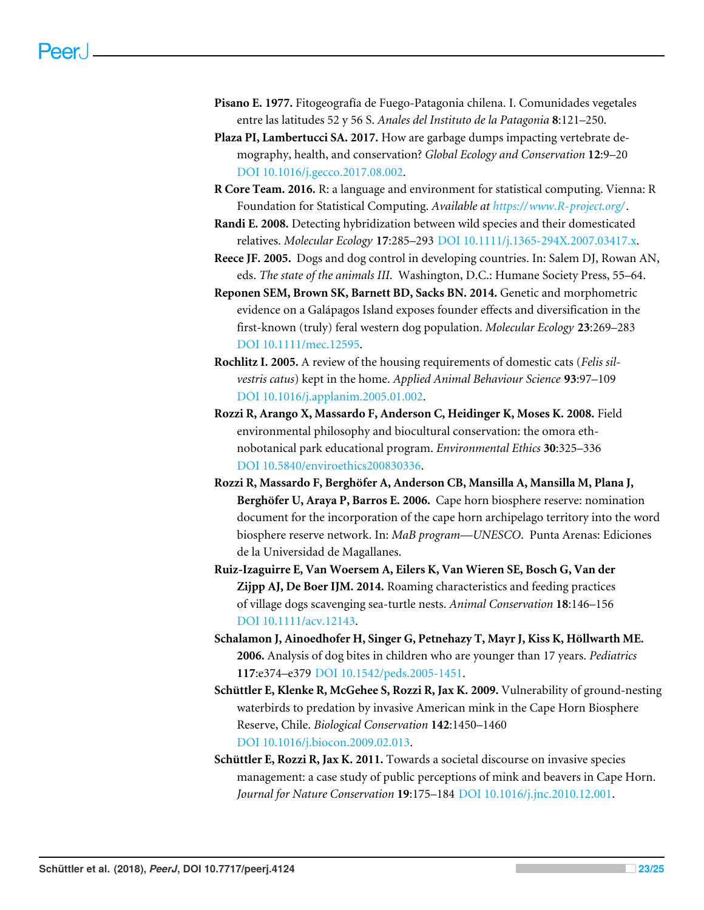- <span id="page-22-3"></span>**Pisano E. 1977.** Fitogeografía de Fuego-Patagonia chilena. I. Comunidades vegetales entre las latitudes 52 y 56 S. *Anales del Instituto de la Patagonia* **8**:121–250.
- <span id="page-22-7"></span>**Plaza PI, Lambertucci SA. 2017.** How are garbage dumps impacting vertebrate demography, health, and conservation? *Global Ecology and Conservation* **12**:9–20 [DOI 10.1016/j.gecco.2017.08.002.](http://dx.doi.org/10.1016/j.gecco.2017.08.002)
- <span id="page-22-4"></span>**R Core Team. 2016.** R: a language and environment for statistical computing. Vienna: R Foundation for Statistical Computing. *Available at <https://www.R-project.org/>*.
- <span id="page-22-1"></span>**Randi E. 2008.** Detecting hybridization between wild species and their domesticated relatives. *Molecular Ecology* **17**:285–293 [DOI 10.1111/j.1365-294X.2007.03417.x.](http://dx.doi.org/10.1111/j.1365-294X.2007.03417.x)
- <span id="page-22-11"></span>**Reece JF. 2005.** Dogs and dog control in developing countries. In: Salem DJ, Rowan AN, eds. *The state of the animals III*. Washington, D.C.: Humane Society Press, 55–64.
- <span id="page-22-6"></span>**Reponen SEM, Brown SK, Barnett BD, Sacks BN. 2014.** Genetic and morphometric evidence on a Galápagos Island exposes founder effects and diversification in the first-known (truly) feral western dog population. *Molecular Ecology* **23**:269–283 [DOI 10.1111/mec.12595.](http://dx.doi.org/10.1111/mec.12595)
- <span id="page-22-12"></span>**Rochlitz I. 2005.** A review of the housing requirements of domestic cats (*Felis silvestris catus*) kept in the home. *Applied Animal Behaviour Science* **93**:97–109 [DOI 10.1016/j.applanim.2005.01.002.](http://dx.doi.org/10.1016/j.applanim.2005.01.002)
- <span id="page-22-10"></span>**Rozzi R, Arango X, Massardo F, Anderson C, Heidinger K, Moses K. 2008.** Field environmental philosophy and biocultural conservation: the omora ethnobotanical park educational program. *Environmental Ethics* **30**:325–336 [DOI 10.5840/enviroethics200830336.](http://dx.doi.org/10.5840/enviroethics200830336)
- <span id="page-22-9"></span>**Rozzi R, Massardo F, Berghöfer A, Anderson CB, Mansilla A, Mansilla M, Plana J, Berghöfer U, Araya P, Barros E. 2006.** Cape horn biosphere reserve: nomination document for the incorporation of the cape horn archipelago territory into the word biosphere reserve network. In: *MaB program—UNESCO*. Punta Arenas: Ediciones de la Universidad de Magallanes.
- <span id="page-22-5"></span>**Ruiz-Izaguirre E, Van Woersem A, Eilers K, Van Wieren SE, Bosch G, Van der Zijpp AJ, De Boer IJM. 2014.** Roaming characteristics and feeding practices of village dogs scavenging sea-turtle nests. *Animal Conservation* **18**:146–156 [DOI 10.1111/acv.12143.](http://dx.doi.org/10.1111/acv.12143)
- <span id="page-22-0"></span>**Schalamon J, Ainoedhofer H, Singer G, Petnehazy T, Mayr J, Kiss K, Höllwarth ME. 2006.** Analysis of dog bites in children who are younger than 17 years. *Pediatrics* **117**:e374–e379 [DOI 10.1542/peds.2005-1451.](http://dx.doi.org/10.1542/peds.2005-1451)
- <span id="page-22-2"></span>**Schüttler E, Klenke R, McGehee S, Rozzi R, Jax K. 2009.** Vulnerability of ground-nesting waterbirds to predation by invasive American mink in the Cape Horn Biosphere Reserve, Chile. *Biological Conservation* **142**:1450–1460 [DOI 10.1016/j.biocon.2009.02.013.](http://dx.doi.org/10.1016/j.biocon.2009.02.013)
- <span id="page-22-8"></span>**Schüttler E, Rozzi R, Jax K. 2011.** Towards a societal discourse on invasive species management: a case study of public perceptions of mink and beavers in Cape Horn. *Journal for Nature Conservation* **19**:175–184 [DOI 10.1016/j.jnc.2010.12.001.](http://dx.doi.org/10.1016/j.jnc.2010.12.001)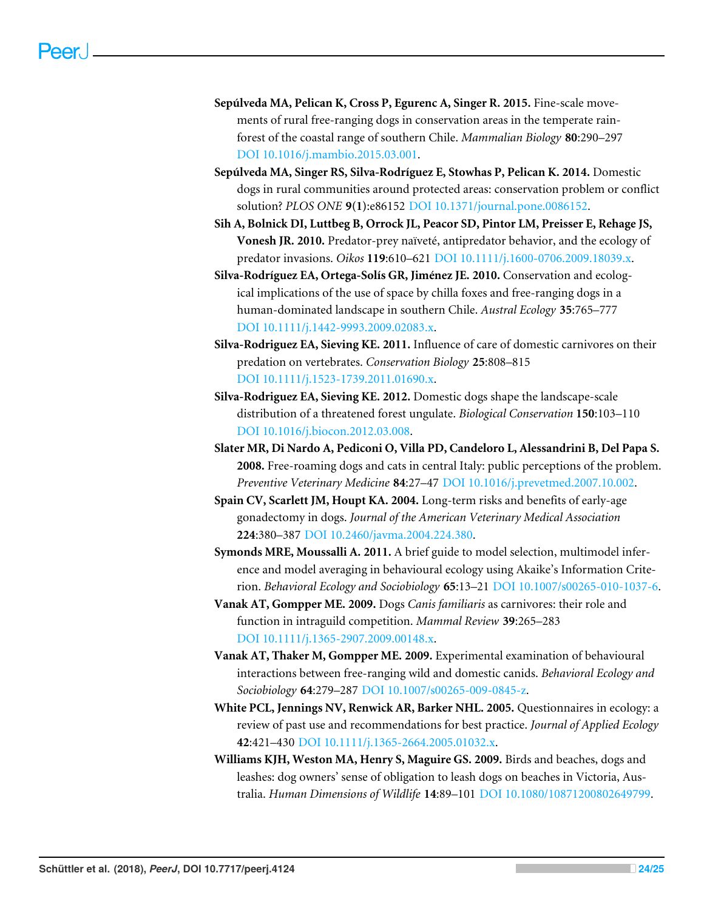- <span id="page-23-9"></span>**Sepúlveda MA, Pelican K, Cross P, Egurenc A, Singer R. 2015.** Fine-scale movements of rural free-ranging dogs in conservation areas in the temperate rainforest of the coastal range of southern Chile. *Mammalian Biology* **80**:290–297 [DOI 10.1016/j.mambio.2015.03.001.](http://dx.doi.org/10.1016/j.mambio.2015.03.001)
- <span id="page-23-5"></span>**Sepúlveda MA, Singer RS, Silva-Rodríguez E, Stowhas P, Pelican K. 2014.** Domestic dogs in rural communities around protected areas: conservation problem or conflict solution? *PLOS ONE* **9(1)**:e86152 [DOI 10.1371/journal.pone.0086152.](http://dx.doi.org/10.1371/journal.pone.0086152)
- <span id="page-23-7"></span>**Sih A, Bolnick DI, Luttbeg B, Orrock JL, Peacor SD, Pintor LM, Preisser E, Rehage JS, Vonesh JR. 2010.** Predator-prey naïveté, antipredator behavior, and the ecology of predator invasions. *Oikos* **119**:610–621 [DOI 10.1111/j.1600-0706.2009.18039.x.](http://dx.doi.org/10.1111/j.1600-0706.2009.18039.x)
- <span id="page-23-2"></span>**Silva-Rodríguez EA, Ortega-Solís GR, Jiménez JE. 2010.** Conservation and ecological implications of the use of space by chilla foxes and free-ranging dogs in a human-dominated landscape in southern Chile. *Austral Ecology* **35**:765–777 [DOI 10.1111/j.1442-9993.2009.02083.x.](http://dx.doi.org/10.1111/j.1442-9993.2009.02083.x)
- <span id="page-23-11"></span>**Silva-Rodriguez EA, Sieving KE. 2011.** Influence of care of domestic carnivores on their predation on vertebrates. *Conservation Biology* **25**:808–815 [DOI 10.1111/j.1523-1739.2011.01690.x.](http://dx.doi.org/10.1111/j.1523-1739.2011.01690.x)
- <span id="page-23-3"></span>**Silva-Rodriguez EA, Sieving KE. 2012.** Domestic dogs shape the landscape-scale distribution of a threatened forest ungulate. *Biological Conservation* **150**:103–110 [DOI 10.1016/j.biocon.2012.03.008.](http://dx.doi.org/10.1016/j.biocon.2012.03.008)
- <span id="page-23-10"></span>**Slater MR, Di Nardo A, Pediconi O, Villa PD, Candeloro L, Alessandrini B, Del Papa S. 2008.** Free-roaming dogs and cats in central Italy: public perceptions of the problem. *Preventive Veterinary Medicine* **84**:27–47 [DOI 10.1016/j.prevetmed.2007.10.002.](http://dx.doi.org/10.1016/j.prevetmed.2007.10.002)
- <span id="page-23-12"></span>**Spain CV, Scarlett JM, Houpt KA. 2004.** Long-term risks and benefits of early-age gonadectomy in dogs. *Journal of the American Veterinary Medical Association* **224**:380–387 [DOI 10.2460/javma.2004.224.380.](http://dx.doi.org/10.2460/javma.2004.224.380)
- <span id="page-23-8"></span>**Symonds MRE, Moussalli A. 2011.** A brief guide to model selection, multimodel inference and model averaging in behavioural ecology using Akaike's Information Criterion. *Behavioral Ecology and Sociobiology* **65**:13–21 [DOI 10.1007/s00265-010-1037-6.](http://dx.doi.org/10.1007/s00265-010-1037-6)
- <span id="page-23-0"></span>**Vanak AT, Gompper ME. 2009.** Dogs *Canis familiaris* as carnivores: their role and function in intraguild competition. *Mammal Review* **39**:265–283 [DOI 10.1111/j.1365-2907.2009.00148.x.](http://dx.doi.org/10.1111/j.1365-2907.2009.00148.x)
- <span id="page-23-1"></span>**Vanak AT, Thaker M, Gompper ME. 2009.** Experimental examination of behavioural interactions between free-ranging wild and domestic canids. *Behavioral Ecology and Sociobiology* **64**:279–287 [DOI 10.1007/s00265-009-0845-z.](http://dx.doi.org/10.1007/s00265-009-0845-z)
- <span id="page-23-6"></span>**White PCL, Jennings NV, Renwick AR, Barker NHL. 2005.** Questionnaires in ecology: a review of past use and recommendations for best practice. *Journal of Applied Ecology* **42**:421–430 [DOI 10.1111/j.1365-2664.2005.01032.x.](http://dx.doi.org/10.1111/j.1365-2664.2005.01032.x)
- <span id="page-23-4"></span>**Williams KJH, Weston MA, Henry S, Maguire GS. 2009.** Birds and beaches, dogs and leashes: dog owners' sense of obligation to leash dogs on beaches in Victoria, Australia. *Human Dimensions of Wildlife* **14**:89–101 [DOI 10.1080/10871200802649799.](http://dx.doi.org/10.1080/10871200802649799)